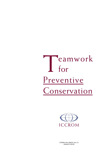# Teamwork<br>for for Preventive Conservation



ICCROM e-doc 2004/01 vers. 1.0 released 12/02/04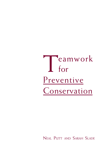Teamwork<br>for for Preventive Conservation

NEAL PUTT AND SARAH SLADE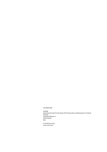### ©ICCROM 2004

ICCROM International Centre for the Study of the Preservation and Restoration of Cultural Property Via di San Michele 13 I-00153 Rome Italy

iccrom@iccrom.org www.iccrom.org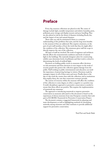# <span id="page-4-0"></span>**Preface**

Every day, museum collections are placed at risk. The causes of damage include light, unstable temperature and relative humidity, pests, pollutants, poor storage and display mounts and poor handling. They are also placed at risk by the threat of disasters including floods, fire, and the impact of war and natural disasters.

These risks can only be minimised if there is a common understanding of the problems that exist, and the long-term benefits to the museum if they are addressed. This requires awareness, on the part of each staff member, of how the work that they do might affect the condition of the collection. This awareness gives staff the scope to directly improve the care of the collection.

All types of staff are involved. The work of engineers and architects directly affects the environmental conditions and levels of natural light in the buildings. The materials designers select for constructing exhibit cases determine levels of pollutants and their work is critical in determining the levels of artificial light.

Decisions on holding public events in museums affect decisions on risk assessment and these decisions in turn impact on the work of security guards who protect the collection against damage from the public. Staff working in public entertainment and education can instil the importance of preserving heritage in visitors. Decisions made by managers impact on all of these areas and more. Finally, there is the day-to-day work the curator does with the collection, and in institutions that employ them, the care that conservator-restorers provide.

The actions of everyone within the museum will affect the condition of the collection to some degree, in either a negative or a positive way. A multi-disciplinary approach to preventive conservation is needed to ensure that these effects are positive. This requires the implementation of teamwork into museums.

The approach to introducing teamwork to improve preventive conservation in museums advocated in this document is based on the experiences of eleven museums from nine European countries that took part in ICCROM's Teamwork for Preventive Conservation Project.

The document contains a suggested framework for planning and team-development, as well as highlighting methods for developing networks among museums and other institutes to provide additional support for preventive conservation.

Neal Putt and Sarah Slade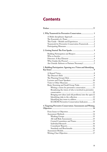# **Contents**

| 1. Why Teamwork for Preventive Conservation 1                   |  |
|-----------------------------------------------------------------|--|
|                                                                 |  |
|                                                                 |  |
|                                                                 |  |
| Teamwork for Preventive Conservation Framework2                 |  |
|                                                                 |  |
|                                                                 |  |
|                                                                 |  |
|                                                                 |  |
|                                                                 |  |
|                                                                 |  |
| Are Outside Advisors or Partners Necessary?5                    |  |
| 3. Building Participation: Agreeing on a Vision and Identifying |  |
|                                                                 |  |
|                                                                 |  |
|                                                                 |  |
|                                                                 |  |
|                                                                 |  |
|                                                                 |  |
| Brain-Storming and Small Group Tasks 11                         |  |
| Writing a vision for preventive conservation 11                 |  |
| Broadening the vision of who is involved in preventive          |  |
|                                                                 |  |
| Bringing new ideas (and old problems) into the open 12          |  |
|                                                                 |  |
|                                                                 |  |
| <b>ICCROM Preventive Conservation Indicators12</b>              |  |
| 4. Targeting Preventive Conservation: Assessments and Writing   |  |
|                                                                 |  |
|                                                                 |  |
|                                                                 |  |
|                                                                 |  |
|                                                                 |  |
|                                                                 |  |
|                                                                 |  |
|                                                                 |  |
|                                                                 |  |
|                                                                 |  |
|                                                                 |  |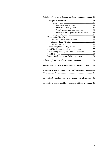| 5. Building Teams and Keeping on Track 18                    |  |
|--------------------------------------------------------------|--|
|                                                              |  |
|                                                              |  |
|                                                              |  |
| Determine reporting system 18                                |  |
| Specify resources and team authority  18                     |  |
| Determine training and information needs 19                  |  |
|                                                              |  |
|                                                              |  |
| Deciding on the number of teams19                            |  |
|                                                              |  |
|                                                              |  |
|                                                              |  |
| Specifying Resources and Team Authority 22                   |  |
| Determining Training and Information Needs22                 |  |
|                                                              |  |
| Monitoring Progress and Achieving Success 24                 |  |
| 6. Building Preventive Conservation Networks  25             |  |
| Further Reading: A Basic Preventive Conservation Library  29 |  |
| Appendix A: Museums in ICCROM's Teamwork for Preventive      |  |
| Appendix B: ICCROM Preventive Conservation Indicators . 38   |  |
| Appendix C: Examples of Key Issues and Objectives  48        |  |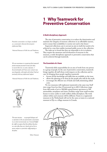# **1 Why Teamwork for Preventive Conservation**

# **A Multi-disciplinary Approach**

The aim of preventive conservation is to reduce the deterioration and maintain the integrity of museum collections in an affordable manner, and to ensure their availability to society now and in the future.<sup>1</sup>

Improved collections care is not just an aim in itself, but needs to be achieved in a way that enables increased public access to the collection.

The tasks are so broad that they are impossible to do in isolation. They require the awareness and involvement of everyone in the museum, a multi-disciplinary approach to preventive conservation that can be achieved through teamwork.

#### **The Essentials of a Team**

Teamwork shifts responsibility for an area of work from one person to a group of people. In the case of preventive conservation, teamwork brings together all staff whose work impacts on the collection and its care. In bringing these people together, teamwork:

- focuses all the knowledge and skills that are available on the issue.
- allows the planning to be done by the people who will do the work.
	- encourages the efficient use of funds and staff, minimising added costs.

No two museums will implement teamwork in the same way. Staff sizes range from less than 10 personnel up to 600. Collections range from 400 works of art to 300,000 natural history specimens to 500 automobiles, aeroplanes and trains. Facilities range from small wooden houses to stone castles to multi-million dollar showplaces. The work culture within each museum will be different. Teams in a regimental museum in the Netherlands will not be the same as teams in a national museum in Fiji or a village museum in Canada.

*The team structure … encouraged dialogue and co-operation in the area of preventive conservation to an extent not previously seen. It proved helpful for staff to recognise that the problems they face are, more often than not, shared and are by no means unique to a particular staff grouping or discipline.*

Ulster Museum



<span id="page-7-0"></span>*Preventive conservation is no longer considered as a conservator's obsession but everyone's professional duty.* 

National Museum of Folk Arts and Traditions, France

*We were unanimous in recognising that teamwork permits museum personnel to meet each other, to reassert their ties, to create a dynamic. I discovered people and I have easier contacts now, more frequently, with people with whom I had not previously had any professional rapport.*

National Museum of Folk Arts and Traditions,



*Lone Crusader*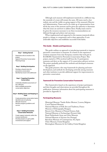<span id="page-8-0"></span>Although each museum will implement teamwork in a different way, the essentials of a team will remain the same. All teams need a clear realistic aim and the visible on-going support of the museum's Director and Administration. Teams need to be made up of representatives from all the key areas of the museum and be given the authority to determine what the issues are and how to address them. Finally, teams need to be given the resources necessary to see these recommendations are followed through and achieve real outcomes.

When implemented and supported in this manner, teamwork allows people to change, to compromise and to share approaches. It sets achievable objectives and establishes successful work habits.

#### **This Guide – Models and Experiences**

This guide outlines an approach to introducing teamwork to improve preventive conservation in museums. It is based on the experiences of eleven museums from nine European countries that took part in ICCROM's Teamwork for Preventive Conservation Project. This project, started in 1994, involved staff from the 11 participatory museums and drew on the support of 14 conservation advisory services. The project gradually perfected the methods and developed consensus on the approach.

This guide presents a five-step framework for planning and teamdevelopment, and methods for developing networks among museums and other institutes to provide additional support for improvements in preventive conservation.

#### **Teamwork for Preventive Conservation Framework**

This framework is based on the experiences of project participants and their thoughts and observations are provided throughout the publication. Summary information about the participating museums is provided in Appendix A.

### **Participating Museums**

Municipal Museum 'Vander Kelen-Mertens', Leuven, Belgium Czech National Museum National Museum of Folk Arts and Traditions, France Museum of Ethnography, Hungary Brescia Civic Museum of Natural Science, Italy National Museum of Archaeology (Ferrara), Italy Royal Netherlands Army and Arms Museum National Museum of Ancient Art, Portugal Barcelona Museum of Contemporary Art, Spain Ulster Museum, United Kingdom Birmingham Museums & Art Gallery, United Kingdom

#### **Step 1 Getting Started**

- Determine who to involve in the project
- Appoint Preventive Conservation Planning Group

#### **Step 2 Building Participation**

- Develop a shared vision for preventive conservation
- Identify key issues to be addressed

#### **Step 3 Targeting Preventive Conservation**

- Undertake detailed assessments of the collection
- Write verifiable preventive conservation objectives

#### **Step 4 Building Teams and Keeping on Track**

- Create preventive conservation teams
- Identify levels of authority
- Allocate resources
- Monitor progress, problems and success

#### **Step 5 Building Preventive Conservation Networks**

- Create support networks within the museum profession
- Develop projects to gain public involvement and support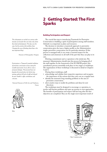# **2 Getting Started: The First Sparks**

**Building Participation and Respect**

The crucial first step to introducing Teamwork for Preventive Conservation is building a spirit of participation among staff members. Attitude is as important as plans and resources.

The decision to introduce a teamwork approach to preventive conservation gives the issue a higher profile, as the Administration singles preventive conservation out for particular attention. If this process is managed well, it can create a renewed respect for the collections and awareness in all staff of the part that they can play in its care.

Eliciting commitment and co-operation is the initial aim. The museum's Administration should start the process by bringing all of the staff together. In the framework of the ICCROM project, this consultation process essentially took place in two stages or workshops. The organisation of these workshops is discussed in detail in Chapters 3 and 4.

During these workshops, staff:

- acknowledge and validate their respective experience and recognise the importance of the actions that they carry out on a regular basis
- identify the museum's long-standing problems in the area of preventive conservation
- elicit creative ways to tackle the problems and ideas for new directions

The workshops must be designed to encourage co-operation, to resolve well-known problems and open up avenues to new approaches. The benefits of participation and respect will last long after the first objectives are completed. They are the single most important result of





<span id="page-9-0"></span>*The achievements we reached can convince other museums: for decades there were ideas only about these kinds of developments! The ideas were the same, but the activities did not follow them! Changing the way of thinking about them is the* 

*Participation in 'Teamwork' permitted validation of preventive conservation actions among the ensemble of personnel. It was able to create a permanent dialogue. The personnel have not forgotten this period where, for the first time, meetings gathered all levels of staff and allowed the most 'humble' to offer contributions and criticisms.* 

National Museum of Folk Arts and Traditions, France



*Ideas*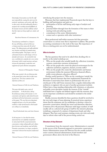<span id="page-10-0"></span>*Interestingly, the perception was that the staff most responsible for creating this spirit were the janitorial, maintenance and security staff, those, in other words, who had traditionally played a marginal role in working towards fulfilment of the museum's mission and who suddenly realised that their input was being sought out, valued, and quoted.*

Barcelona Museum of Contemporary Art

*Team planning contributed to a change in the way of thinking, and part of that was a change away from seeing only the lack of money. The Administration and staff established new structures and habits of communicating and working together. They began a series of achievements based on small changes in the use of people and resources. An essential first step was a workshop of a committee of a cross-section of personnel, which created awareness and gave everyone the opportunity to make their own suggestions for good collections management.* 

Museum of Ethnography, Hungary

*What seems essential is the art of placing value on the ground-level actions that are often issues of good sense. This draws attention to the importance of these acts.* 

National Museum of Folk Arts and Traditions,

*The project did indeed create a spirit of participation … In the first place; during … the preliminary meeting at the museum in 1999 conservators and registrars spoke about the merits and demerits of the level of preventive conservation at the moment. The sense that every department struggled with more or less the same problems resulted in a high-spirited mood in which people were willing to act immediately.*

Royal Netherlands Army and Arms Museum

*In the long term it is clear that the entirety of personnel has not completely transformed its state of spirit but the concept of preventive conservation is today indispensable and it allows faster decisions and transforms some bad habits. Preventive conservation is no longer considered a conservator's obsession but everyone's professional duty.*

National Museum of Folk Arts and Traditions,

introducing this project into the museum.

Museums that have implemented Teamwork report that the keys to building staff participation and spirit are:

- participation of all the staff during early stages of analysis and planning
- punctual follow-through from the formation of the teams to their starting work and achieving results
- commitment of the senior Administration
- contact and co-operation with other institutions.2

Most professional staff within museums feel that preventive conservation is a serious issue that is important to address. This provides an existing commitment to the work of the team. The importance of this as a starting point can not be underestimated.

### **Who to Involve**

The key questions that need to be asked when deciding who to involve in the initial workshops are:

- Who are the people who actually handle the collections (scientists, curators, conservator-restorers, technicians)?
- Who are the people who create the physical environment for the collection (architects, engineers, cleaners, security staff )?
- Who are the people who create the administrative and human environment within the museum (Directors, financial officers, public events planners, education officers)?

Another useful question is "Who are the contributors 'outside' the museum?" Several museums that have implemented Teamwork for Preventive Conservation have drawn in professionals who are not strictly part of the staff. Some museums have a regular relationship with architects or engineers who are part of another government institute. Others have a long-standing relationship with volunteers, or education and public event specialists outside the museum. If the "outside" individuals have a regular and defined rapport with the museum, they can be important contributors and should be included in the initial workshops.

Ideally, everyone identified by these questions should be involved in the very early stages of team planning. In practical terms, experience shows that the maximum size for workshops to develop a vision for preventive conservation, identify key issues and determine objectives is between 20 to 40 personnel. Museums with larger numbers of staff usually call on a selected sub-group of staff for the intensive planning workshops, composed of a mixture of department heads and other delegates. They have used seminars, training events, site visits and study days to inform other staff of the process being carried out.

### **Directors: A Key Element**

Commitment from the museum's senior Administration is essential to the success of the Teamwork approach to preventive conservation. Senior Administration means the Director, but also usually includes senior curators, financial administrators, board members and government officers above the level of the Director.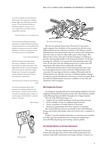<span id="page-11-0"></span>*I can't stress enough the value that Teamwork for Preventive Conservation has for instilling amongst staff a sense of belonging, and shared concerns. The end realisation that they are all cultural custodians, carrying a social service, makes them carry out their respective responsibilities with pride.*

Barcelona Museum of Contemporary Art

*The most interesting technique for promoting teamwork was certainly the fact that all museum personnel participated in an early workshop, from guardians to maintenance personnel to scientific collaborators. Preventive conservation on every level of museum practice was talked about.*

#### Leuven Municipal Museum

*Without the support of the Administration, these projects are difficult to realise because they need full and complete participation. If the Administration puts the accent on the importance of this mission and also contributes to making attitudes evolve, the project has a formidable common denominator that opens the doors of inter-professional communication.*

National Museum of Folk Arts and Traditions, France

*One of the most important elements of the project was the involvement of Directors and senior managers. Irrespective of how preventive conservation is undertaken within a museum, it is clear that support at this high level is essential if progress is to be made.* 

Ulster Museum



*The Game Plan*



*The Director leads the charge*

The idea for starting Teamwork for Preventive Conservation might originate from anywhere in the museum, but only the senior Administration has the authority to initiate it. The Director and the Administration must demonstrate their own interest and commitment from the outset, in order for other staff to give it their respect. The Director has to have a key role in the first meetings or workshop to give the necessary high profile to the Teamwork initiative. At the first meetings the staff have to be assured that after planning, action will ensue. At the same time, the Administration has to ensure that staff expectations fall within what is realistically achievable.

As Teamwork for Preventive Conservation proceeds, there must be strong rapport between teams and senior Administration, with a structure for reporting and decision-making. Ultimately, only the Administration can authorise new ways of working together, changes in staff time and the identification of resources to meet new goals. Both the staff and Administration must have confidence in the team and satisfaction with its progress.

#### **Who Guides the Process?**

A small group of people will need to work together regularly to lead and implement Teamwork for Preventive Conservation. The maximum number on this Planning Group should be 10 people, even in large museums.

- The role of the Planning Group is to:
- organise the two initial workshops and all associated meetings
- set the schedule of steps for implementing Teamwork
- choose consultants or outside advisors, if necessary
- develop any partnerships with other museums or institutes

The museum Director need not necessarily be part of the Planning Group, and another staff member often serves best as the co-ordinator or Leader.

Chapter 5 provides detailed information on choosing team members and other tips and considerations for creating and maintaining a successful Planning Group and avoiding common pitfalls.

#### **Are Outside Advisors or Partners Necessary?**

The museums that have implemented Teamwork for Preventive Conservation all agree that contact with outside professionals and institutes help build commitment and change attitudes. Contacts can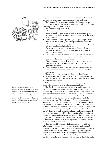

*Breath of Fresh Air*

*The involvement of external advisers was undoubtedly the most beneficial aspect. A 'neutral' voice will always speak much louder than one with a vested interest. They also offered a source of advice and encouragement and acted as 'sounding boards' when needed. … Adherence to timetables and deadlines was facilitated by staff awareness of their overseeing role.* 

Ulster Museum

range from advisory or consulting services by a single professional, to co-operation agreements with other museums and institutes.

The Planning Group needs to determine whether the museum needs technical advice in preventive conservation, or advice to facilitate workshops and consultation with staff, or both.

The Planning Group should ask:

- Does the museum need technical and scientific information about preventive conservation? Does it have enough preventive conservation expertise to conduct its own assessment of the current state of affairs?3
- Does the museum need expertise in planning and implementing workshops and in drawing out participation from all the staff? Does the Planning Team feel capable of independently organising all staff workshops and planning events?
- Is the museum in a position to hire a consultant or advisor, or would it be possible to obtain free assistance from a national institute or university?
- Is it possible to work in tandem on the Teamwork project with one or more other museums, exchanging experts between the museums and using other forms of co-operation?
- Does the museum want to develop co-operation in areas such as training, public programmes, advisory services or disaster preparedness teams?
- Does the museum want to use alliances with other museum and institutes to raise government or public support for preventive conservation?

The answers to these questions will determine the skills and knowledge to look for and whether to work with a single professional or whether to develop a broader-scale partnership or alliance with other museums and institutions.

Whatever the functions and skills of outside advisors, their impartiality will assist in developing communications.

The Czech National Museum used external professionals and partner institutions throughout the Teamwork project. To start, the museum organised a one-day seminar for all staff. Guest speakers and conservator-restorers from other professional spheres and institutions formed the most successful feature of the event. The information and experience they brought was new and beneficial for all the museum participants. The workshop reinforced the importance and significance of preventive conservation care. The Workshop included visits to two other museums. A scientist from a national conservation institute continued as a technical advisor during a series of subsequent assessment and planning meetings. Several of the participants from the Workshop eventually assisted in editing a basic training manual in preventive conservation. Mutual co-operation when preparing the manual, workshop and professional excursions helped to create a spirit of participation. The external advisors and colleagues from the other institutions contributed their broad experience and unbiased criteria to the conservation initiatives.

The Museum of Ethnography in Budapest chose two advisors who provided a mixture of preventive conservation and teamwork experience. The advisors assisted the staff to select assessment methods and survey the storage and exhibition rooms. They made suggestions of how to solve problems, provided bibliographies and references, and coached and advised on the initial workshops. The museum also developed an exchange programme with museums in the Netherlands.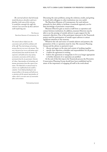*The external advisors had obviously tested the process elsewhere and were familiar with some of the reticence it would face amongst the staff; this reticence was overcome by these advisors with surprising ease.*

> The Director Barcelona Museum of Contemporary Art

*The external advisors helped assess the conservation needs and led the workshops with all the staff. They had techniques of involving everyone that were very new to the museum. They were a big part of our success with getting respect and participation from outside the museum. We organised a well-publicised one-day meeting on preventive conservation with the advisors, participants from the city government, Ministry of Culture, Superintendence of Archaeology and museum representatives from other regions of our nation. This helped plan an outreach project to schools in our neighbourhood and assemble a committee. It also helped get funding for some storage problems in the museum and build up our co-operation with the regional superintendence of culture, which is our main source of conservation advice and assistance.* 

Participating museum

Discussing the same problems, seeing the solutions, results, and getting in touch with colleagues in other institutions was very useful.

The Barcelona Museum of Contemporary Art used advisors primarily for their ability to facilitate a teamwork approach, not for their knowledge of preventive conservation.

Museum Directors gain as much as staff from co-operation and contact between institutions. In addition, museum Directors may be able to use the prestige of outside advisors to gain support for the museum's objectives. One of the participant museums in the Teamwork project used the participation of outside expert advisors to attract significant attention to the museum.

Whatever the role and source of outside advisors and partners, the parameters of the co-operation must be clear. The museum Planning Group and the advisor or partner(s) must:

- discuss and agree on the aims and context of working together
- specify clear objectives, schedules and responsibilities for all parties
- confirm the agreement in writing
- hold to the agreement or renegotiate it if it is no longer appropriate or further elements of co-operation are justified.

At the end of this first step in the Teamwork process the Preventive Conservation Planning Group should have been established and be aware of the importance of engaging all staff in the work ahead.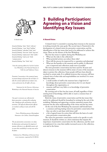<span id="page-14-0"></span>

*A shared vision*

*Instead of thinking "object" think "collection". Instead of thinking, "room" think "building". Instead of thinking "individual" think "team". Instead of thinking "short term" think "long term". Instead of thinking "professionals" think "public". Instead of thinking "trade secrets" think "communications".*

*Instead of thinking "how" think "why".* 

From the opening address by Gael de Guichen for a Workshop at the National Museum of Folk Arts and Traditions, France:

*Preventive Conservation is the economical means to prevent damage and preserve the real objects. It takes the constant application of common sense, science and practice by all staff in all areas.* 

Statement by the Director, following a Workshop at the National Museum of Ancient

*Our goal is to preserve our collections for future generations: systematically evaluating risks, identifying needs and forming a plan for prevention. All staff and administrative officials are involved, working in teams and with the public.* 

> From a Workshop group at Birmingham Museums & Art Gallery, United Kingdom

*The aim of preventive conservation is to reduce the deterioration and maintain the integrity of museum collections in an affordable manner and to ensure their availability to society now and in the future.*

Definition by a Workshop of Directors from seven museums, organised by ICCROM.

# **3 Building Participation: Agreeing on a Vision and Identifying Key Issues**

# **A Shared Vision**

A shared vision<sup>4</sup> is essential to ensuring that everyone in the museum is working towards the same goals. The second step to Teamwork is the development of a shared vision for preventive conservation, and the identification of the key issues that need to be addressed to achieve this vision. These are the themes of the first Workshop.

The four key issues to explore during this Workshop are:

- What are the risks to the collections?
- What potential actions can reduce these risks?
- How will the process be improved by co-operation and planning?
- What are the benefits to the museum and its public if collections care is improved and collections made more accessible?

The term preventive conservation has been used for 30 years and almost everyone in the museum will be aware of some of the measures taken to protect the collection. Some people will have been directly involved in certain tasks. It is unlikely, however, that everyone will have a shared view of what risks and responsibilities are involved. It is more likely that either:

- a small number of staff in the museum have a high level of knowledge about preventive conservation, but it is not shared throughout the organisation, or
- museum staff have very little or no knowledge of preventive conservation

By covering each of the four key issues, all staff, regardless of their existing level of knowledge, will be able to reach a common base of understanding.

Both the vision of preventive conservation and the key issues that need to be addressed should be formalised in writing by the end of the workshop. Debating and approving a written statement ensures that everyone has the same understanding of the vision and the key issues.

At the end of the first Workshop the museum's staff should have:

- a common and long-lasting vision for preventive conservation that they can refer to and share with future staff
- a list of agreed issues for action that will form the basis of a midterm preventive conservation plan

The vision for preventive conservation needs to be specific to each museum. It should be written as a short statement that imparts the importance of preventive conservation for the collections, and the need to implement it in a way that enables increased access to the collection, now and in the future.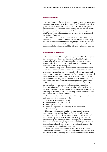#### <span id="page-15-0"></span>**The Director's Role**

As highlighted in Chapter 2, commitment from the museum's senior Administration is essential to the success of the Teamwork approach to preventive conservation. The Director must make one of the opening presentations at the workshop, explaining why the museum has decided to focus on preventive conservation and adopt a teamwork approach. The Director's personal commitment is critical to the development of the entire staff's vision.

The museum's Administration also needs to provide staff with the framework for the Teamwork project. The presentation should convey the Administration's commitment to assigning the responsibilities and resources needed to undertake the project. It should also outline the timeframe within which results will be visible throughout the museum.

#### **The Planning Group's Role**

It is the role of the Planning Group, appointed in Step 1, to organise the workshop. They should use the criteria outlined in Chapter 2 to identify who will be involved in the workshop, either as a presenter or as an attendee. This includes the identification of museum staff and any external advisors that may be required.

The Planning Group should also determine what workshop format would be most effective for their museum. The workshop is being held to promote participation, draw out the staff 's existing knowledge and create a base of understanding throughout the museum, so that a shared vision for preventive conservation can be developed.5 The format for the core of the workshop needs to encourage open communication. It should include techniques like brainstorming and small group work.

Short lectures can be incorporated for the sections of the workshop that are designed to impart information or update the existing knowledge of the staff.6 Information gathering techniques (such as visits to other museums) can be incorporated during, before or after the workshop, to illustrate problems or present possible solutions that have been implemented in other institutions.

The decisions about what combination of techniques would best suit each museum will be influenced by the:

- size and structure of the museum
- number of people to be included
- existing staff culture
- museum's experience in organising staff meetings and brainstorming.

Museums with large staff numbers or complex staff structures can organise special sessions for all staff, while a smaller group, representative of all of the key areas in the museum, will be involved in the Workshop. Large open sessions are especially useful for the presentation by the Director, to announce the project, to inform on actions and time schedules, to report on results and to provide general information and knowledge. For large open sessions, lectures are the most appropriate communication technique.

The experience of the museums that participated in ICCROM's Teamwork for Preventive Conservation project indicates that whatever the format, the first Workshop should take a minimum of one day and a maximum of two days.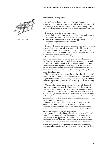<span id="page-16-0"></span>

*A Shared Starting Point*

#### **Lectures and Guest Speakers**

All staff need to have the opportunity to learn about current approaches to preventive conservation, regardless of their existing levels of knowledge. In this way, everyone starts on a shared footing. Even professional conservator-restorers need to continue to adopt new ideas, attitudes and technical approaches.

Lectures can be useful in museums where:

- the majority of staff members have a limited understanding of the techniques and benefits of preventive conservation
- only a small number of staff have had the opportunity for midcareer training in preventive conservation
- staff responsibilities are separated and hierarchical

If teamwork is a new management technique, there can be a risk that its relatively informal style will seem improper. The Planning Group might want to initiate the process with a lecture that will provide a fairly formal learning environment and prepares people for the move to more informal discussions and exchange.

Guest speakers can be used successfully to inform the museum staff of current approaches to preventive conservation. In museums that have a conservation section, both their conservator-restorers and guest speakers should be involved. The involvement of the museum's conservators-restorers right from the beginning of the Teamwork process includes them in the transition from preventive conservation being their sole responsibility to one that is the responsibility of a multi-disciplinary team.

The involvement of guest speakers helps reduce the risk of the staff feeling that the museum's conservator-restorers are the sole authorities on preventive conservation. This is important in ensuring that staff feel comfortable participating openly in the Workshop and in the on-going Teamwork for Preventive Conservation process.

Guest speakers are most effective when they can talk about real situations in museums, rather than just theory. They should include case studies and examples of actual problems and solutions. It may be useful for them to discuss some of the problems with the staff prior to the Workshop, to provide information pertinent to the museum. If this is the case, the Planning Group should organise an advance visit by the guest speakers or advisors, to enable them to familiarise themselves with the situation in the museum.

During the Teamwork for Preventive Conservation project, the Brescia Civic Museum of Natural Science found that the most important contribution to the start of the Teamwork approach was a discussion between external conservators and the internal staff about the general problems of preventive conservation.

A mixture of external and internal specialists was successfully used by the Czech National Museum. In this museum, an initial study day was held where approximately 50 museum staff met with the conservator-restorers from their own museum, as well as some of the most active researchers and practical innovators from other professional spheres and institutions in the country. Lectures were given by the museum's Administration staff, its conservators, and by guest speakers.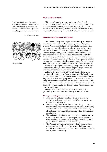<span id="page-17-0"></span>*In the Teamwork for Preventive Conservation project, the Czech National Museum followed up the first Workshop with staff visits to two other museums that had demonstrated cost-effective and resourceful approaches to preventive conservation.* 

Czech National Museum



*Identifying Risks*

#### **Visits to Other Museums**

This approach provides an open environment for informal discussions between staff from different professions. It promotes longterm links outside the museum and provides contacts with future sources of advice and training. Seeing successes elsewhere can be very inspiring. Staff can see highly practical ideas to apply in their museum.

#### **Brain-Storming and Small Group Tasks**

The Planning Group should organise the workshop in a way that stimulates communication, self-expression, problem solving and creativity. Workshop techniques that require individual participation ensure that everyone's knowledge is included and participants have the satisfaction of contributing their point of view, suggestions and concerns. Long-standing problems are frequently identified. This is an excellent result, but also one that must be kept under control to avoid returning to old conflicts and rigidity. The workshop should be structured so that everyone has the chance to speak up, but no one has the opportunity to monopolise. The natural reserve of some individuals should be respected, but should not prevent them from participating.

Brainstorming and group work, incorporating a mixture of written work and discussions, function very well in producing the vision and key issues for preventive conservation in the museum.

Asking each person to write a few words ensures that everyone participates. Discussion then allows the braver individuals and natural leaders to speak more fully and lead the group to completion of a task. Reporting back from small groups in writing ensures that the task is completed according to specifications and that the results are available for immediate use and future reference. These tasks familiarise staff with future roles as team members, in liaising with the Administration and as active participants.

During the Teamwork for Preventive Conservation project participating museums found the following techniques successful:

#### *Writing a vision for preventive conservation*

- Every participant in the workshop writes two or three key words on a card to answer the question: "What does preventive conservation mean to you?"
- The cards are gathered at the front of the workshop and one or two facilitators (perhaps assisted by several workshop participants) quickly sort them into rough groups. The facilitators encourage discussion between the participants to help collate the comments meaningfully.
- The workshop is then broken up into a maximum of three or four small groups. Each has a short time to produce a definition or vision statement of a maximum length (say 50 words). The small groups then report back to the entire workshop.
- The Planning Group, or any assigned workshop reporters from each group, meet briefly to complete a single draft statement, which is reported back to the entire workshop, and discussed before final agreement on wording.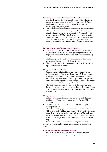#### <span id="page-18-0"></span>*Broadening the vision of who is involved in preventive conservation*

- Individuals identify the different staff positions that take part in preventive conservation, either orally or in writing. A facilitator moderates, summarises and comments on the discussion, encouraging wide participation.
- This task can be adapted to the museum's needs by using variations of the question given to the participants: What staff positions already take part in preventive conservation? Which staff positions could assume a role? Who is involved in preventive conservation 'inside' the museum? Who is involved, or could be involved, from 'outside' the museum (architects, advisors, specialised technical services, museum visitors, children, funding agencies, government representatives)?

#### *Bringing new ideas (and old problems) into the open*

- All the workshop participants write one or two cards that answer a question such as: What are the two greatest problems related to preventive conservation that you encounter in your day-to-day work?
- Facilitators gather the cards and sort them roughly into groups, encouraging discussion from all the participants.
- The results are used as the basis of further work to define and agree upon the key issues to address.

### *Identifying risks to the collection.*

- Small groups are asked to identify the risks of damage to the collection, based on their personal experience. Each small group is assigned a different area: risks arising from a museum function (exhibits, storage, transport and handling, building management) or risks arising from particular sources (light, incorrect temperature and relative humidity, fire, flood, theft, vandalism, insect pests, etc.).
- The small groups use cards to record their discussion and report back to the entire workshop to assemble the overall picture of risks. Each group must provide a verbal commentary on the meaning of their findings.

#### *Identifying key issues to address*

- All the workshop participants write one or two cards that state (within a word limit) the key issues that they feel should be addressed.
- Facilitators gather and sort the cards into groups, using help from all the participants.
- The entire workshop agrees on a maximum of four to six key issues.
- This exercise leads well into small group work to describe the issues more clearly and to add background explanations. The workshop participants can volunteer for the group and the issue that interests them most, as long as they agree to approach the issue in a positive way.

The facilitators should clarify that the participants in the small groups will not necessarily become team members assigned to that issue.

#### *ICCROM Preventive Conservation Indicators*

The ICCROM Preventive Conservation Indicators are a tool designed to assist staff to identify the main preventive conservation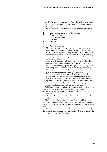issues that face their museum (refer to Appendix B). They also assist to broaden the vision of staff because they provoke discussion about a wide range of issues.

The Indicators are 35 questions with yes/no answers, divided into seven topics:<br>1 Cor

- 1 Constitutional framework of the museum<br>2 Finance and Plans
- 2 Finance and Plans<br>3 Personnel and Tear
- 3 Personnel and Teams<br>4 Collection
- 4 Collection<br>5 Building
- 5 Building
	- **Environment**
- 7 Public Involvement
- To encourage discussion, a large workshop should be broken down into groups with a maximum of 10 members. Each group should include a cross-section of professions and employees, such as administrative officers, curators, exhibit designers, technicians, architects, security personnel, guides and staff for educational services and public events.
- Answering the questions will promote considerable debate. Each group should appoint a workshop recorder to note the answers and comments of the group. After completing all of the questions, each group should identify three to six key issues, generated by the discussion of all the Indicators. The chart at the end of the Indicators helps summarise the group's conclusions.
- Workshop recorders then report back to the entire workshop summarising their analysis and giving a short synopsis of the four to six key issues that they feel the museum should address by taking a Teamwork approach to preventive conservation. The workshop participants discuss the lists from each group and determine what the final key issues are for the museum.

Whichever combination of the techniques covered in this chapter is used, at the end of the first Workshop the staff should have:

- developed a shared vision of preventive conservation for the museum
- identified the key issues that need to be addressed to achieve this vision

The Preventive Conservation Planning Group should then consult with the museum Administration to ensure their agreement with the vision and key issues, and then report the approved results to the entire staff.

The museum can now start the following step in the Teamwork for Preventive Conservation process – developing objectives to address the key issues that have been identified.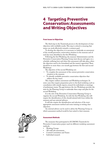# <span id="page-20-0"></span>**4 Targeting Preventive Conservation: Assessments and Writing Objectives**

# **From Issues to Objectives**

The third step in the Teamwork process is the development of clear objectives with verifiable results. This step is critical to ensuring that teams can work effectively towards a common goal.

To develop the objectives, it is necessary to undertake an assessment of the overall preventive conservation situation in the museum and of each key issue identified in the first Workshop.

Following the first Workshop, the museum Administration and the Preventive Conservation Planning Group must discuss and agree on a schedule outlining how and when this assessment will take place, when the objectives need to be formulated and the team(s) appointed. There should be no more than a six-month gap between the first and second Workshops.

The objectives of the second Workshop are:

- To complete the assessment of the current preventive conservation situation in the museum
- To identify verifiable preventive conservation objectives that address the key issues.

This chapter outlines assessment and Workshop techniques. In some cases they require preparation prior to the final workshop, such as consultation with outside experts, research by individuals or meetings of preliminary teams. The gap between the two Workshops provides the time for the Planning Group to undertake these steps and plan for the second Workshop.

It is the role of the Preventive Conservation Planning Group to organise the second Workshop. As with the first Workshop, this will require the identification of who should attend, both from within the museum and any external advisors.

It will also require the identification and selection of the most appropriate assessment method and some training in writing clear objectives.

An external advisor can be used to advise the Planning Group on which assessment method would be best suited to their museum.

# **Assessment Methods**

The museums that participated in ICCROM's Teamwork for Preventive Conservation project used six different workshop assessment methods:

- Working Groups
- All-staff risk assessments
- Central Committees and Teams
- Individual research



 *Assessment*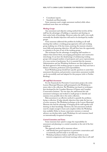- <span id="page-21-0"></span>Consultants' reports
- Standards and Benchmarks

Some museums used a single assessment method, while others combined more than one technique.

#### *Working Groups*

Any assessment and objective setting method that involves all the staff has the advantages of building co-operation and drawing on their entire body of knowledge. However, unless the staff is very small, eventually the detailed objectives will need to be developed by smaller groups.

Some museums addressed this problem by holding an all-staff meeting that outlines a working group approach, with each working group studying one of the key issues, assessing the museum situation more fully, and proposing objectives. All staff then have the opportunity to volunteer to be part of one of the working groups.

This technique has the advantage of assigning staff members to subjects that interest them, encouraging participation and constructive interchange. It can have the disadvantage of unbalancing working groups with unequal numbers of participants and a poor representation of a cross-section of professions. So, it is essential that the museum Administration and any Workshop facilitators use their judgement in the final approval of the working-groups to ensure that they each have a balance of interests, professions and responsibilities.

Each Workshop group should have specific questions to assist their assessment discussions, and preventive conservation assessment models can be successfully used and adapted for this purpose (refer to Further Reading).

#### *All-staff Risk Assessments*

For the Teamwork for Preventive Conservation project, the entire Leuven Municipal Museum staff participated in the Workshop to assess risks to the collection. The Workshop was based on techniques first developed by the Canadian Museum of Nature and Canadian Conservation Institute.7 For two days, the staff learned the risk assessment techniques and worked in small groups to identify and examine every possible risk to the entire collection.

Risk assessment is an effective method to quantify the problems facing a collection. It helps identify objectives that make the best use of scarce resources. The Workshop technique at the Leuven Municipal Museum also had the advantage of bringing all the staff together and drawing on their knowledge. However, the risk assessment methods must be simple enough to learn and complete within the Workshop time available. Either in-house conservator-restorers or external advisors can develop tailor-made Workshops for each museum, based on internationally recognised techniques.

### *Central Committees and Teams*

Some museums have opted to assign the responsibility for assessment and planning to a central committee at the end of the first workshop.

This approach works well in museums where:

- staff already have good experience in preventive conservation and/ or teamwork, and feel ready to set objectives
- Workshop facilitators believe staff will react better to more intensive assignments and formal meetings rather than to all-staff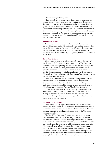brainstorming and group work

<span id="page-22-0"></span>These committees or central teams should have no more than ten members, drawn from a wide cross-section of museum departments. Each member is responsible for assessing and reporting on the current preventive conservation situation in his or her own area of expertise. The committee then compile the results in the second Workshop, when the committee chair is responsible for leading the committee towards a consensus on objectives. An external advisor or a museum conservatorrestorer can be used to assist the committee, with an objective voice or with technical expertise.

#### *Individual Research*

Some museums have found it useful to have individuals report on the conditions, risks and problems in their sectors of the museum, then to use this information as the basis for the Workshop discussion when the final objectives are agreed. The responsibility to contribute at an individual level usually creates a spirit of participation, commitment and satisfaction.

#### *Consultants' Reports*

Consultants' reports can also be successfully used at this stage of the Teamwork for Preventive Conservation process. The Preventive Conservation Planning Group can commission consultants to provide reports on conditions and risks, along with recommendations of potential objectives. The consultant may be directed to examine a specific risk area or could be asked to conduct an overall assessment. The results are then used as the basis for the workshop discussion, when the final objectives are agreed.

Some consultants now use risk assessment and planning matrixes similar to those by Waller and Michalski.8 Another approach is to discuss the risks and problems to the collection resulting from each museum function: exhibits, storage, research and public access. The *Conservation Assessment Program Handbook for Assessors* and *The Conservation Assessment: A Tool for Planning, Implementing, and Fundraising*, <sup>9</sup> provide a basic format for such a consultant's report. It is up to the museum Administration and the Planning Team to commission the type of assessment and report that will best suit their needs (refer to Further Reading).

#### *Standards and Benchmarks*

Some museums may require a more objective assessment method to be used, where the results will indicate how the preventive conservation work of the museum compares to that of other museums. In this case museum standards or benchmarks form the basis of the Workshop assessment method.

The ICCROM Preventive Conservation Indicators lead up to standards or benchmarks in that they require they ask the user to describe and discuss the entire current range of conservation activities in the museum. Standards and benchmarks go one step further in that they stipulate specific measures of achievement and targets for results. They generally specify levels of relative humidity and temperature, lighting, storage design, policy preparation, pest control and so on. Standards are levels of achievement that are required or imposed by a funding agency, a government administration or another museum offering to lend artefacts. Benchmarks are optional measures of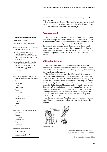achievement that a museum may use to assist in planning and selfimprovement.

In this case, the standards and benchmarks are completed as part of the workshop and the results are used as the basis for the development of the final objectives (refer to Further Reading).

#### **Assessment Models**

There are a range of preventive conservation assessment models that have been developed and used by museums throughout the world. The Further Reading section in this guide provides details on models that were used by museums that participated in ICCROM's Teamwork for Preventive Conservation project. It should be noted that preventive conservation assessments are an area that is continually developing and any museum planning to undertake the Teamwork for Preventive Conservation process should check what additional models are available.

#### **Writing Clear Objectives**

The fundamental aim of the second Workshop is to assess the preventive conservation situation in the museum, characterise each key issue and then use this information to develop clear objectives outlining how each issue will be addressed.

The need for clear objectives and verifiable results is so important to the success of Teamwork that it is recommended that a session on "How to Write Objectives" be included in the second Workshop. The session should cover the points outlined in the following "Guidelines for Writing Objectives". Learning to write objectives was found to be invaluable during ICCROM's Teamwork for Preventive Conservation Project. It will be new information for some workshop participants, while acting as a useful refresher for others. Examples of the Key Issues and Objectives developed by three of the museums that participated in ICCROM's Teamwork for Preventive Conservation project are included in Appendix C.

At the end of the second Workshop, clear and verifiable objectives should have been written, stating how each key issue is going to be addressed.



*Objectives 1, 2, 3, 4.*

*Be clear about objectives and outcomes for the project, how these will be measured and evaluated.*

Birmingham Museums & Art Gallery

#### <span id="page-23-0"></span>**Guidelines for Writing Objectives**

Key elements to include:

- *Result:* Name the expected product or result.
- *Performance:* Describe the action the team or the institution is to do.

*Conditions:* Describe the important conditions under which the performance is to occur, such as the time schedule and the limits on staff and funds.

*Standards:* Wherever possible, describe the standards that will make the performance acceptable, such as the quantity of results and the characteristics of the product expected.

When stating objectives, use verbs that suggest specific changes or products:

To produce

To identify

To sort

To construct

To build

To document

Avoid verbs that are open to many interpretations:

> To assist To aid

To improve

Avoid verbs that focus on means rather than ends:

To study

To promote

To co-ordinate

To guide

To discuss

Make sure that the wording:

is clear and short avoids describing changes that cannot be verified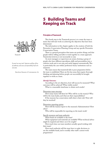# **5 Building Teams and Keeping on Track**



<span id="page-24-0"></span>

*Teamwork*

*It wasn't an easy task. Suspicion and fear of loss of authority and areas of responsibility had to be overcome.*

Barcelona Museum of Contemporary Art

#### **Principles of Teamwork**

This fourth step in the Teamwork process is to create the team or teams that will start work on achieving the objectives that have been determined.

The information in this chapter applies to the creation of both the Preventive Conservation Planning Group and any specific Preventive Conservation Teams.

There is a general perception that teams are positive things, and that people will be willing and able to work together in a team approach. Teamwork, however, is not necessarily so easy.

As most managers or supervisors are aware, forming a group of people who have different specialisms, skills and personalities into a cohesive work unit is not easy, and rarely happens automatically. This is particularly the case within 'profession-heavy' institutions such as museums.

The main reason that teamwork fails is poor preparation before the team is established. There are five key areas that require thorough thinking and planning before people can successfully be brought together to work as a team.

#### *Identify Outcomes*

According to the set objectives, how will success be measured? What outcomes will be achieved? What visible results?

What is a reasonable timeframe to obtain such results?

#### Determine team structure

How many teams will there be? Who will be on the team(s)? Who will be the team leader, and what are their responsibilities?

If the museum has conservation staff, what is their role? How will they be involved?

#### Determine reporting system

How will the team(s) report to the museum's Administration? How often?

Who will be responsible for reporting on the team's work?

#### Specify resources and team authority

What funds are available to the team?

What equipment and materials are available? What technical advice might be required and where can it be sought?

How much time can team members actually spend working with their team?

How much authority will the team have to make decisions, to use the available funds, and to modify other staff 's current work programmes?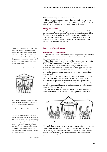#### <span id="page-25-0"></span>Determine training and information needs

How will team members increase their knowledge of preventive conservation? How will they improve their teamwork skills? How can all staff awareness in preventive conservation be developed?

#### *Identifying Outcomes*

The process of identifying the outcomes has already been started during the two Workshops. The Workshops produced a shared vision for preventive conservation, a list of key issues and a set of written objectives. The museum's Administration now needs to determine a realistic timeframe for the team(s) to meet the objectives and how the success of the team will be measured.

#### **Determining Team Structure**

#### *Deciding on the number of teams*

The museum's overall aim and objectives for preventive conservation and the size of the museum will be the main factors in determining how many teams will be set-up.

Three different approaches were used by museums participating in ICCROM's Teamwork for Preventive Conservation Project.

In some cases, the museum created a single team that was responsible for meeting all of the objectives. This approach best suits small museums whose preventive conservation aims and objectives are broad and require participation from a wide cross-section of the museum staff.

Another approach was to establish a number of teams, each with their own objectives. This works best in small and medium size museums whose preventive conservation aims and objectives are very specific, but cover a number of areas of the museum's work. The objectives are of equal importance and can be carried out by separate teams working in parallel.

An alternative approach was to establish an overall co-ordinating team, with sub-teams responsible for meeting different objectives.



*Large Museum*

This works best in large museums where the overall aim for preventive conservation is broad, with a number of more specific objectives. The co-ordinating team oversees the work of the sub-teams, and ensures that all of the work being undertaken meets the museums overall preventive conservation aim.

*Being a small museum with limited staff turned out to be an advantage in implementing the philosophy of preventive conservation. Almost everyone is in daily "contact" with the collection and sees the need for good collection management. They were easily convinced of the importance of preventive conservation and willing to become involved in the project.* 

Leuven Municipal Museum



*Small Museum*

*Two teams were established, one for each of the two areas the museum wanted to tackle - public education and environmental conservation.*

Barcelona Museum of Contemporary Art

*Following the establishment of a project team comprising representatives from all disciplines or departments, we formed a series of working groups to look at those preventive conservation issues which we considered important: handling and movement of objects, environmental monitoring, environmental control, object housings and support materials, cleaning and materials testing and case construction.*

Ulster Museum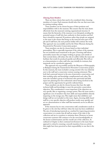#### <span id="page-26-0"></span>*Choosing Team Members*

There are three criteria that need to be considered when choosing members of a team. Each museum should select the one that most suits its existing working culture.

Team members can be chosen because of their positions and responsibilities with in the museum. This ensures that the team draws effectively from the museum's existing organisational structure. It means that the hierarchy of the museum is not disrupted, avoiding the potential unease of staff who have authority in their position and feel that it should be respected. If positions rather than people are assigned to the team it also means that being on the team becomes part of the job and if staff leave, the next position holder will continue the work. This approach was successfully used by the Ulster Museum during the Teamwork for Preventive Conservation project.

Team members can also be chosen based on their individual personalities. This is especially important if the culture of the museum has not included much teamwork in the past. Choosing staff whose personality means they are happy working in groups, and outside of their normal duties, will reduce the risk of conflict within the team and facilitate that results be produced quickly and efficiently. This will act as a demonstration to other staff, who may initially be resistant, that teamwork can be a productive approach.

This approach was successfully used by the Museum of Ethnography in Budapest during the Teamwork for Preventive Conservation project. In this museum, the team included a young scientist who was relatively new to the staff and a conservator-restorer nearing retirement. They both had a personal interest in the area of preventive conservation, and their working styles and knowledge complemented each other. The team also included a group of technicians who previously had little input into planning but were enthusiastic about being involved in the project and the opportunity for growth it allowed them.

Team members can also be chosen because they have the right technical skills and knowledge to meet the preventive conservation objectives. This consideration is most important if the objectives are very specific, like re-organising a storage system. Then the team needs a significant core of members who have skills and responsibilities directly impacting on the storage area. This might mean that exhibition and design staff are not included on this team. Again, choosing skills-based staff for a very specific objective will produce results more quickly and act as a demonstration to other staff that teamwork can be an effective approach.

If the museum has its own conservation staff, consideration needs to be given to the role they will have when the team has been established. The aim of introducing teamwork as a method for improving preventive conservation is to ensure that all staff are aware of the risks to the collection and are in a position to minimise them. However, in-house conservator-restorers will continue to be the most knowledgeable on the factors of deterioration and the overall care of the collection. As outlined in Chapter 2, their continued involvement in the team-based approach is critical to ensuring a smooth transition from an activity that might have been perceived as their responsibility to one that is the team's.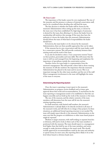#### <span id="page-27-0"></span>*The Team Leader*

The importance of the leader cannot be over emphasised. The size of the museum, and the presence or absence of internal conservation staff, need to be considered when deciding who will lead the team.

The first decision is whether the leader will be chosen by the museum's Administration when setting up the team, or chosen by the team once it has been established. If a high degree of autonomy is desired for the team, then allowing it to choose the leader from its membership will reinforce this message. If the team does have the authority to choose the leader, then the museum's Administration should inform the team of what kind of responsibilities the leader should have.

If, however, the team leader is to be chosen by the museum's Administration, there are three possible approaches that can be taken.

If the museum has its own conservation staff, the team leader could be a conservator-restorer. This will provide continuity between their existing work and the work of the team.

It can also be decided to select a "non-conservator-restorer" based on their position, personality and team skills. This will ensure that the team is well run and managed from the beginning and emphasises the importance of specialisms outside the conservation section.

Another choice for team leader is a representative from the museum's management. This will provide a direct link to those running the museum. It will also reinforce the importance that the museum's Administration has placed in the team and its success. This is an important message for the other team members and the rest of the staff. Direct management involvement in the team will highlight the status of the team to everyone.

#### **Determining the Reporting System**

Once the team is operating, it must report to the museum's Administration on progress, receive feedback and, at times, gain approval about their work and recommendations. A mechanism for the team reporting to management needs to be established so that this can happen smoothly and not hold up the work of the museum or the team.

The size of the museum, and the relative seniority of the team members, will determine how the team will fit into the museum's existing reporting systems.

In small museums, with limited staff numbers, the museum's Administration is already likely to be directly involved in all areas of the museum's work, and will often be in charge of key projects. In these situations, an additional formal reporting structure is not needed. The team will simply report directly to the museum's Administration, in the same way that the progress on exhibitions or other team-based projects might be reported.

Medium to larger museums, with staff working in separate branches or divisions, will need to look at where each of the team members is positioned with the museum. The team should report to a management level higher than that held by any of the team members, and senior enough to make decisions relating to the team's work. This should include approval for recommendations made by the team and authority to spend money. In most cases, this reporting link is likely to be at the level where branch or division heads meet.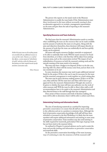<span id="page-28-0"></span>The person who reports on the team's work to the Museum Administration is usually the team leader. If the Administration want direct involvement in the team without necessarily running it, then an alternative approach is to include a management representative on the team and give them the task of reporting to the museum's Administration.

#### **Specifying Resources and Team Authority**

The final areas that the museum's Administration needs to consider when establishing the team are the resources that can be made available and the amount of authority the team is to be given. Along with the aims and objectives themselves, these decisions will impact directly on the amount of work that the team can realistically do and how quickly results can be achieved.

All teams will require resources (budget, materials or equipment) to be able to undertake their work. Will the team's resources be found from elsewhere, or is there a risk that they will be taken from existing museum areas, such as the conservation section? The impact of such redistribution of resources on both the museum's existing work and the smooth running of the team needs to be assessed.

The team may have a budget at its disposal. If this is to be the case, how big will it be, where will the money come from, and are there to be any constraints on its use?

In some situations the museum may need to gain additional external funds for the project. If this is the case it may be necessary for the team and the museum's management to work together on a fund-raising plan.

The team may be given decision-making powers. If this is to be the case, what authority will the team have and when will it have to get approval from the museum's Administration? Thought also needs to be given to whether the team will have any authority over the work of other museum staff. Will the team be able to direct other staff, or will recommendations have to be made to the museum's Administration and then directed down to the staff through their line managers?

Once aware of these resources and levels of decision-making, the team will be able to determine what it will be able to achieve and when.

#### **Determining Training and Information Needs**

The aim of introducing teamwork as a method for improving preventive conservation is to ensure that all staff are aware of the risks to the collection and are in a position to minimise them. Although the level of preventive conservation knowledge of all staff will have been refreshed or increased in the first Workshop, it is likely that the team members will require additional information and training in some areas of preventive conservation. Team members may also need training in the skills required for teamwork, particularly if this type of group-work has not been tried in the museum before.

As outlined in Chapter 2, external advisors can be used to assist the team and provide training and information on preventive conservation and teamwork skills.

As the preventive conservation knowledge of the team increases, ways of continuing to raise the awareness of all the museum's staff

*Neither the project team nor the working groups were provided with any additional resources to carry out their remits. However, as a result of their efforts, a certain amount of 'redistribution of wealth' took place within the Museum such that funding was better targeted towards specific preventive conservation needs.*

Ulster Museum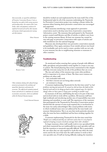<span id="page-29-0"></span>*More practically, we regard the establishment of Preventive Conservation Resource Centre as having been successful in both raising awareness and providing advice: the contents of the Centre (books, videos and equipment) continue to be regularly borrowed and used by other museums and museum-related organisations for training and other purposes.*

Ulster Museum



 *Resource Centre*

*Other institutions dealing with cultural heritage protection participated in the workshop and opened their depositories and premises for excursions. The staff of each institution prepared lectures and took part in compilation of a manual on preventive conservation, which was published within the National Museum program.*

#### Czech National Museum



*To Do List*

should be worked out and implemented by the team itself. One of the fundamental tasks for all of the museums undertaking the Teamwork for Preventive Conservation project was creating a climate within the museum where learning about preventive conservation was encouraged and supported.

Most museums introducing a team approach to preventive conservation need to develop some form of preventive conservation 'information centre'. The museums that participated in the Teamwork project created small libraries and files of articles or added a new focus to the existing museum library. At least one museum has created its own web page on preventive conservation with copies of articles and with translations into the national language.

Museums also developed their own preventive conservation manuals and guidelines. Once again, assistance from outside advisors was found to be invaluable, and can be used to create a product with use not only to your museum, but also to neighbouring museums or museums in other countries.

### **Troubleshooting**

As mentioned earlier, ensuring that a group of people with different skills, specialisms and personalities work together as a team is not easy to achieve. The formal planning that as been summarised in this chapter will help overcome many, but not all, of the problems that can occur.

The size and culture of the museum may create other problems and it is important to be aware of them. The three most common are problems are when staff:

- feel overloaded with work
- feel their concerns are not being taken seriously
- are resistant to change

A museum implementing Teamwork for the first time noted "*we had problems starting up teamwork. It seemed we did not have the habit of this kind of work and we let things go back to their original ways. It is hard to change when we have spent so many years working in another way".*

In museums of all sizes, staff finding the time to be part of the team and involved with its work will be a problem. All museum staff have high workloads and introducing another area of responsibility may seem daunting and unrealistic to some staff. The experiences of the museums that participated in the Teamwork for Preventive Conservation project showed that the amount of extra work required due to involvement in the team was rarely acknowledged. This caused problems with teams in which workload issues were not addressed by the team leader and museum Administration. This is an area that needs particular attention after the team has been established and has been working together for a while.

A museum implementing Teamwork for the first time noted that "*People were enthused and they are still more active but it is very hard to respond to keeping everyone involved, amongst their other schedules".*

In larger museums, where staff usually work in very specialised fields and where teamwork has not traditionally been used, specialist staff can find the transition to teamwork especially difficult. This is particularly the case when they are only required to work this way when the team meets and for the rest of the time the staff continue to work in their own specialist area. If staff are having difficulty making the transition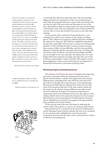<span id="page-30-0"></span>*Preventive Conservation is at the same time something absolutely common place and something that can have enormous consequences, and that demands practical and scientific information in all areas. It has been, and it is, extremely difficult to attract the attention of officers and specialists who already have their time enormously filled, in an institution that has an ever-ageing and ever-diminishing body of personnel. To say it in a word, it is very difficult to make teamwork enter into the priorities of the museum. The problems are daily, the urgencies, the exhibitions, etc. and above all the fact that to be a small central museum the teamwork is very often, too often, superimposed on the continual work of the groups. Still, the diffusion of basic notions, and even the idea of the urgent necessity to diffuse preventive conservation has been made, and there is therefore an awareness and also an effort to transform this conscience into a positive and permanent routine of our work.*

National Museum of Ancient Art, Portugal

*I would encourage them to make it an ongoing process, establishing new goals as preceding ones are fulfilled.* 

Barcelona Museum of Contemporary Art



 *Encore*

to teamwork, they will tend to spend the time in the team meetings talking only about the requirements of their own professional area, rather than discussing the wider issues of preventive conservation. This can slow the work of the team down and demoralise the rest of the team. This problem is likely to continue until each team member begins to feel that the work of the team will address some of their professional concerns. This is an area that should be focussed on in the early team meetings.

In any museum where teamwork is being introduced as a new technique, there will be some resistance to this change in working practice. This is likely to be strongest in staff who have been working at the museum for a long time. They will have established work patterns that they feel comfortable with and want to continue. As with potential problems of staff not feeling that their concerns are taken seriously, this resistance is likely to create difficulties until the team specifically addresses it. Isolating staff who may prefer other ways of working will only alienate them. It will also mean that their knowledge and skills are not accessible to the team and reduce the effectiveness of its work. People will become supportive of change only when they can see that it will be an improvement to what went before. This requires a serious acknowledgement of their concerns and seeing the new approach of Teamwork for Preventive Conservation achieving results.

#### **Monitoring Progress and Achieving Success**

The museum's overall vision, key issues and objectives for improving preventive conservation will be the starting point for the team to plan its work and define a schedule. Once approved by the museum's Administration, undertaking this work will be the main task of the team. However, thought also needs to be given to forward planning. The vision and initial objectives will have been written based on the needs of the museum at that time. As the team achieves results and the situation in the museum changes, different issues will arise and need to be addressed. A program of continuous monitoring and improvement needs to be undertaken by the team. The progress on the existing schedule needs to be monitored and reported to the museum's Administration, and recommendations for addressing the new needs that are identified must be passed to management for approval before being included in the revised schedule.

In this way, the work of the team will always be addressing the current needs of the museum in a process of continuous improvement.

There should now be an awareness by the museum's Administration and the Planning Group of the key elements that need to be considered by every museum when establishing the teams for preventive conservation. It ensures that the teams can be created and set to work in an effective and rewarding way.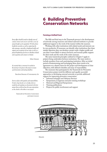# **6 Building Preventive Conservation Networks**

### **Forming a Unified Front**

The fifth and final step in the Teamwork process is the development of networks among museums and related national institutes to provide additional support to the work of the team(s) within the museum.

Working with other institutions with related needs and interests can be very productive. If museums can identify other institutions that share similar objectives they can develop a project with a higher profile and one that is more likely to attract resources, and increase public support for their work and the work of the entire museum.

The same teamwork principles outlined in Chapter 5 apply to projects being undertaken between institutions. The team needs to include members from each participating institution. After an initial period of brainstorming and exchanging ideas, there needs to be agreement on a shared vision for the project and development of clear objectives, with defined schedules and areas of responsibility.

The museums that participated in the Teamwork for Preventive Conservation project took five different and equally successful approaches to developing external networks to provide additional support for improving preventive conservation.

- Informal exchanges and Advisory Services
- Symposiums, Congresses and joint training workshops
- National and Regional Symposiums
- Training publications
- Projects for public involvement and support



*Networks*

<span id="page-31-0"></span>*Every effort should be made to identify areas of common interest and concern such that a sense of mutual benefit can be engendered. We did achieve benefits for ourselves as well as supporting the other museums, especially a heightened profile and support and recognition of our value as well as a general heightening of services in Northern Ireland and recognition and contacts in Ireland.* 

Ulster Museum

*It's essential that a consensus be reached on the priority to be given to the project to ensure synchronisation and meeting deadlines* 

Barcelona Museum of Contemporary Art

*Insist on plans with agendas and responsibilities. It took a long time for us to clarify what we would do and sometimes we discovered at the last minute that we did not have the same expectations as the schools or the others in our project.* 

> Teamwork for Preventive Conservation participant museum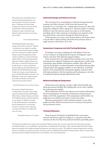*We provided lectures and published articles in national and regional museum forums as we progressed with our Preventive Conservation project. Collaboration with other heritage institutions (the national conservation institute, and the Flemish Community Department of Museums) created a network that made information about conservation and restoration more accessible.* 

#### Leuven Municipal Museum

*The RNAAM helped four other military museums with preventive conservation. It focused – with help of our own staff and a consultant – on how to measure the environmental conditions and on how to improve the conditions within the museums involved. Knowledge about climatic conditions and light was conveyed to the keepers together with the use of measuring apparatus for temperature, humidity and light, which we were able to buy as a result of the shared project with the other museums. A system to distribute the measuring apparatus and needed applications was developed. Also the RNAAM began to perform the duty of an expertise centre and information point in the whole field of military museums in the Netherlands (5 larger and 24 smaller museums) for preventive conservation and also for the acquisition of conservation materials.* 

Royal Netherlands Arms and Army Museum

*We organised a regional Symposium on "Communicating Conservation" using examples presented by speakers from the United Kingdom (Ulster Museum, National Museums of Scotland, West Midlands Museums, Manchester Museums, our own museum). In addition to providing us with valuable information, the Symposium gave the opportunity for us to put ourselves; our policies and practice under scrutiny from conservation and collection care professionals across the country.* 

Birmingham Museums & Art Gallery

#### **Informal Exchanges and Advisory Services**

The most basic form of networking is informal exchanges between museums and other institutes. At the outset the museum may primarily be in a "receiving" role – visiting other museums for ideas and inspiration, calling for advice, asking for a volunteer speaker or meeting facilitator. Later, the museum may, in turn, take on an informationproviding role for other museums as it develops more expertise in the area of preventive conservation through the Teamwork process.

If the museums can create a more formal advisory role between them it may be able to obtain funding and professional assistance that no single museum could achieve on its own.

#### **Symposiums, Congresses and Joint Training Workshops**

If training is necessary, combining the staff audience from two or more museums can help justify the expense of bringing in expert trainers, and assist with obtaining support funding.

Some museums have also organised their training events in the form of symposia and congresses. Symposia and congresses have a wider range of presenters, guest speakers and audience members. They offer more scope for the speakers or 'trainers' themselves to benefit, by hearing others of equal stature and engaging in debates on new directions. A practical element can be maintained by ensuring that speakers continue to deal with topics pertinent to the host museums and by planning on-site visits to institutions that have already addressed key issues.

#### **National and Regional Symposiums**

Symposiums and congresses can gain a high national profile and obtain government funding. This funding then can be used to publish the symposium proceedings.

These publications then become references for technical information. The joint participation of networks of institutions and government bodies, in both the organisation of the symposiums and the follow-up publications, can influence preventive conservation policy.

Museums participated in multi-institution projects to raise their profile and often obtained increased access to resources from private and government sources.

#### **Training Publications**

Some museums developed and published basic conservation manuals and Internet pages by working in co-operation with other museums. In this way they have produced materials specifically geared

*The meeting of our staff with various experts of our own National Museum and also other conservators and restorers from other professional spheres and institutions formed a very successful feature. Interesting lectures were beneficial for all participants. Other institutions dealing with cultural heritage protection participated in the workshop and opened their depositories and premises for excursions. The staff of each institution prepared lectures and later took part in compilation of a manual on preventive conservation, which was published within the National Museum program. Mutual co-operation when preparing the manual, workshop and professional excursions helped to create a spirit of participation.*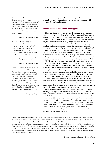*In 2000 we organised a conference about Collection Management and Preventive Conservation with colleagues who are curators of ethnographic collections. There were about 100 colleagues taking part on the conference, and we published the proceedings with the lectures and some translations of articles with other countries about these themes.* 

Museum of Ethnography, Hungary

*We asked one of the leading experts in conservation to compile a questionnaire for surveying storage rooms. This questionnaire (which was published in the conference proceedings) now helps a lot to carry out planning in smaller county museums. We also published a theme issue of the national museum magazine devoted to preventive conservation, which reached all of the museums in Hungary.* 

#### Museum of Ethnography, Hungary

*Relative humidity caused slight damage in some of our collections last year. With the help of our Preventive Conservation team we found firms dealing with dehumidifiers and made a feasibility study of the storage rooms. We applied to the Ministry of Cultural Heritage and received a grant for buying four dehumidifiers, and testers for measuring relative humidity, light and UV. On the basis of our good co-operation, the private supplier also offered two dehumidifiers for other museums in need in the counties outside Budapest.* 

Museum of Ethnography, Hungary

to their common languages, climates, buildings, collections and Administrations. These combined projects also strengthen ties with other professionals and institutes.

#### **Projects for Public Involvement and Support**

Museums throughout the world use signs, guides, and even small exhibits, to explain how the artefacts are being protected from damage and to encourage visitors to respect preventive conservation principles.

One of the museums in the Teamwork for Preventive Conservation project developed a special training program so that the exhibit guardians could learn to answer visitors' questions about lighting, handling and other conservation issues. The guardians were highly motivated and became effective preventive conservation "ambassadors". Another museum developed an educational programme for children that introduced the role of conservation in museums, linked with fascinating insights into archaeology, history, physics and chemistry.

Programmes for adults included exhibits, visits to conservation work in progress and advice on preventive conservation of personal artefacts.

The National Museum of Archaeology in Ferrara started a project with their local schools and other institutions. They formed a committee with the teachers, schools administrations, the museum volunteers, the Ferrara society for heritage preservation and the educational service of the national ministry for museums. This group planned new outreach to the community around the museum, because the museum had felt isolated. They developed museum-based activities about the collection, the Renaissance museum building and the surrounding urban landscape. The first activities with the children were "what does the museum collect, and how do they look after the collections?" The children compared the conservation problems of some of their own personal and family treasures to the museums' work. The Teamwork project was a catalyst for more contacts with the schools and the community. It went much further than conservation.

Public involvement in conservation is growing rapidly. The "Further Readings" in this guide list some of the key sources of information, with particular attention being paid to those available over the Internet, as this is the fastest growing source of information and activities for the public.

As stated at the beginning of this guide, the actions of everyone in the museum will affect the condition of the collection to some degree, in either a negative or a positive way. Involving everyone in preventive conservation through teamwork ensures that these effects are positive. The guidelines contained in this guide have outlined a five-step framework for implementing teamwork into museums and building preventive conservation networks.

*Our main form of outreach to other museums was the production of a collections handling manual written by our staff with the help and collaboration of numerous other conservators and museums. It will be published by the Réunion des Musées nationaux, which will permit a very wide diffusion among the ensemble of museums of France and the francophone museums of the international sphere. We have also been called on to provide training in preventive conservation or as expert at Roubaix, Besançon, Avignon, Poitiers, in numerous Paris museums, and by the training service of the Direction des musées de France to develop frameworks for courses in preventive conservation. As a result of this work the conservation and storage personnel also feel more confident of their actions. The contact with other institutions gives more courage to stay active in preventive conservation. One acquires communication techniques and operations planning that are indispensable to the construction and success of projects. It is motivating not to feel isolated like Don Quixote. Internal work is favoured by external collaboration.* 

National Museum of Folk Arts and Traditions, France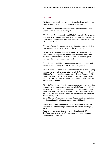### **Endnotes**

1 Definition of preventive conservation determined by a workshop of Directors from seven museums, organised by ICCROM.

2 See more details under *Lecturers and Guest speakers* (page 9) and under *Visits to other museums* (page 10).

3 The Planning Group can look over ICCROM's Preventive Conservation Indicators in Appendix B and judge whether the existing knowledge of all the staff is sufficient to deal with the questions, or at least make a satisfactory start.

4 The 'vision' could also be referred to as a 'definition', 'goal' or 'mission statement' for preventive conservation in the museum.

5 At this stage, it is important to avoid reports by consultants that immediately set out problems and recommendations. Even when the consultant uses a technique of individually interviewing staff members this will not promote teamwork.

6 These lectures should be no longer than 45 minutes in length and should remain a minor part of the Workshop programme.

7 Robert Waller, 'Conservation risk assessment: a strategy for managing resources for preventive conservation', in Ashok, R. and Smith, P. (eds.) 1994: *IIC, Preprints of the Contributions to the Ottawa Congress, 12-16 September 1994 preventive conservation practice, theory and research*, pp. 12–16. The International Institute for Conservation of Historic and Artistic Works, London.

<sup>8</sup>Robert Waller, 'Conservation risk assessment: a strategy for managing resources for preventive conservation', in Ashok, R. and Smith, P. (eds.) 1994: *IIC, Preprints of the Contributions to the Ottawa Congress, 12-16 September 1994 preventive conservation practice, theory and research*, pp. 12–16. The International Institute for Conservation of Historic and Artistic Works, London.

Stefan Michalski, 'A systematic approach to preservation: description and integration with other museum activities", ibid. pp. 8–11.

9 National Institute for the Conservation of Cultural Property 1992: *The Conservation Assessment Program Handbook for Assessors,* Washington, NICP.

National Institute for the Conservation of Cultural Property 1992: *The Conservation Assessment A Tool for Planning, Implementing, and Fundraising,* Washington, NICP.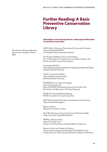# <span id="page-35-0"></span>**Further Reading: A Basic Preventive Conservation Library**

### **Subscriptions, series and web sites for a wide range of information on preventive conservation**

AATA Online: Abstracts of International Conservation Literature <http://aata.getty.edu/NPS/> Los Angeles, Getty Conservation Institute.

CCI Technical Bulletins, Notes, and Newsletter List of Titles https://nt3.magma.ca/cci-icc/bookstore/index-e.cfm Ottawa, Canadian Conservation Institute.

Conservation DistList <http://palimpsest.stanford.edu/byform/mailing-lists/cdl/aboutcdl.shtml>. Stanford, Stanford University.

CoOL: Conservation OnLine <http://palimpsest.stanford.edu/> Stanford, Stanford University.

ICCROM On-Line Library Catalogue <http://www.iccrom.org> Rome, ICCROM (International Centre for the Study of the Preservation and Restoration of Cultural Property).

ICOM-CC Triennial Meeting Preprints ICOM Committee for Conservation, Paris.

JAIC Online, Journal of the American Institute for Conservation <http://aic.stanford.edu/jaic/>.

Museum Practice Museums Association, London.

North East Document Conservation Centre Technical Leaflets <http://www.nedcc.org/leaflets/leaf.htm>.

SPNHC Collection Forum <http://www.spnhc.org/> Society for the Preservation of Natural History Collections.

Resource Advice and Guidance Factsheets <http://www.resource.gov.uk/information/advice/00advice.asp>. London, Resource: The Council for Museums, Galleries and Archives.

The web site addresses indicated in this list were consulted in March 2003.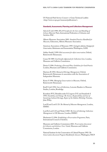US National Park Service Conserv-o-Gram Technical Leaflets <http://www.cr.nps.gov/museum/publications/>.

### **Standards, Assessments, Planning and Collections Management**

Adcock E (ed) 1998: *IFLA Principles for the Care and Handling of Library Material.* Paris, International Federation of Libraries and Archives-PAC.

Alberta Museums Association 2001: *Standard Practices Handbook for Museums,* Edmonton, Alberta Museums Association.

American Association of Museums 1995: *Caring for collection, Strategies for Conservation, Maintenance and Documentation,* Washington, AAM.

Ashley-Smith J 1999: *Risk assessment for object conservation,* Oxford, Butterworth-Heinemann.

Cassar M 1989: *Cost/benefits Appraisals for Collections Care,* London, Museums and Galleries Commission.

Davies S 1996: *Producing a Forward Plan, Guidelines for Good Practice* London, Museums and Galleries Commission.

Harrison R 1994: *Manual of Heritage Management,* Oxford, Butterworth-Heinemann in association with the Association of Independent Museums.

Keene S 1996: *Managing Conservation in Museums,* Oxford, Butterworth-Heinemann.

Knell S (ed) 1994: *Care of Collections,* Leicester Readers in Museum Studies, London, Routledge.

Krumbein W E, Brimblecombe P, Cosgrove D E and Staniforth S 1994: *Durability and Change: The Science, Responsibility and Cost of Sustaining Cultural Heritage, Report of the Dahlem Workshop,* Toronto, John Wiley.

Lord B and Lord G D: *The Manual of Museum Management,* London, HMSO.

Lord B, Lord G D and Nicks J 1989: *The Cost of Collecting: Collections Management in UK Museums,* London, HMSO.

Mackenzie G 1996: *Establishing a Preservation Programme,* Paris, International Council of Archives.

Museums and Galleries Commission 2001: *Preservation Assessment for Libraries and Archives: Users' Guide,* Museums and Galleries Commission, London.

National Institute for the Conservation of Cultural Property 1992: *The Conservation Assessment Program Handbook for Assessors,* Washington, NICP.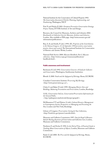National Institute for the Conservation of Cultural Property 1992: *The Conservation Assessment A Tool for Planning, Implementing, and Fundraising,* Washington, NICP.

Putt N and Heyha H 2001: *European Preventive Conservation Strategy Project,* Vantaa, EVTEK Institute of Art and Design.

Resource, the Council for Museums, Archives and Libraries 2002: *Benchmarks in Collection Care for Museums, Archives and Libraries,*  London. Also available at Web page <http//www.resource.gov.uk/ information/publications>.

Roy, A. & and Smith, P. (eds.) 1994: *IIC, Preprints of the Contributions to the Ottawa Congress, 12-16 September 1994 preventive conservation practice, theory and research*. The International Institute for Conservation of Historic and Artistic Works, London.

National Park Service 2000: *Museum Handbook, Part I, Museum collections,* <http://www.cr.nps.gov/museum/publications/ handbook.html>.

#### **Public awareness and involvement**

Bachmann K (ed) 1992: *Conservation Concerns: A Guide for Collectors and Conservators,* Washington, Smithsonian Institution.

Blondé A 2000: *Youth and the Safeguard of Heritage,* Rome, ICCROM.

Canadian Conservation Institute*:* P*reserving My Heritage,*  <http://www.preservation.gc.ca/>,

Chitty G and Baker D (eds) 1999: *Managing Historic Sites and Buildings, Balancing Presentation and Preservation,* London, Routledge.

*CoOL, Conservation OnLine, Conservation/Preservation Information for the General Public,*  < http://palimpsest.stanford.edu/bytopic/genpub/>.

McManamon F P and Hatton A (eds): *Cultural Resource Management in Contemporary Society, Perspectives on Managing and Presenting the Past,* London and New York, Routledge.

Library of Congress: *Preservation: Caring for Your Collections*, <http://lcweb.loc.gov/preserv/careothr.html>.

Museums and Galleries Commission 1997: *Ours for Keeps? A Resource*  Pack for Raising Awareness of Conservation and Collections Care, London, Museums and Galleries Commission.

Newberry E and Fecher E 1994: *In the Nick of Time, A Practical Guide to Teaching About Conservation of Objects,* London, Museums and Galleries Commission.

Pardo G (ed) 2000: *The Press and the Safeguard of Heritage,* Rome, ICCROM.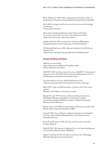Périer-D'Ieteren C 1999: *Public et Sauvegarde du Patrimoine, Cahier de Sensibilisation à l'Intention des Guides,* Brussels, Université Libre de Bruxelles.

Pye E 2001: *Caring for the Past, Issues in Conservation and Archaeology and Museums* London, James & James.

Preservation and Storage Division, State Library of Victoria: *Preservation and Storage: Free Conservation Information Sheets,* <http://www.slv.vic.gov.au/slv/conservation/>.

Schultz A W (ed) 1992: *Caring for Your Collections*, Washington, National Institute for the Conservation of Cultural Property.

US National Park Service 2001: *Museum Handbook, Part III, Museum Collections* Use <http://www.cr.nps.gov/museum/publications/handbook.html>.

### **Storage, Handling, and Display**

*AMA Conservation Briefs,*  <http://www.museumsalberta.ab.ca/publicn.html> Alberta Museums Association.

ARAAFU 1992: *La Conservation Préventive, ARAAFU 3rd International Symposium, Paris 1992,* Paris, L'Association des Restaurateurs d'Art et d'Archéologie de Formation Universitaire, Paris.

*Australian Museums On Line AICCM Information sheets, <*http://amol.org.au/craft/conservation/conservation\_index.asp>.

Ball S 1997: *Larger and Working Objects: A Guide to their Preservation and Care* Museums and Galleries Commission, London.

Barclay R L (ed) 1997: *The Care of Historical Musical Instruments,*  Edinburgh, Museums and Galleries Commission, Canadian Conservation Institute, ICOM Committee of Musical Instrument Museums and Collections.

Baynes-Cope, A D 1989: *Caring for Books and Documents,* London, The British Library National Preservation Office.

Coote K 1998: *Care of Collections,* Sydney, Committee for Aboriginal and Torres Straits Islander Keeping Places and Cultural Centres, Australian Museum.

Finch K and Putnam G 1985: *The Care and Preservation of Textiles,*  London, Batsford.

Forde H 1991: *The Education of Staff and Users in the Proper Handling and Care of Archival Materials,* Paris, UNESCO.

Gillies T and Putt N 1993: *The ABCs of Collections Care,* Winnipeg, Manitoba Heritage Conservation Service.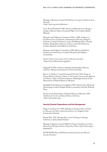Heritage Collections Council: *ReCollections: Caring for Collections Across Australia,*  <http://amol.org.au/recollections/>.

Lee L R and Thickett D 1996: *Selection of Materials for the Storage or Display of Museum Objects,* Occasional Paper 111, London, British Museum.

Museums and Galleries Commission 1992 to 1998: *Standards in the Museum Care of Collections (Archaeological Collections, Biological Collections, Geological Collections, Larger and Working Objects, Touring Exhibits, Photographic Collections, Costume and Textile Collections),*  London, Museums and Galleries Commission.

Museums and Galleries Commission 1998: *Effective Exhibitions: Guidelines for Good Practice,* London, Museums and Galleries Commission.

*Northern States Conservation Center Collections Caretaker,*  <http://www.collectioncare.org/pubs/>.

Odegaard N 1992: *A Guide to Handling Anthropological Museum Collections,* Western Association for Art Conservation.

Rose C L, Hawks C A and Genoways H H (eds) 1992: *Storage of Natural History Collections, Volume 1: A Preventive Conservation Approach and Volume 2: Ideas and Practical Solutions,* Pittsburgh, Society for the Preservation of Natural History Collections.

Sandwith H and Stanton S (compilers) 1993: *National Trust Manual of Housekeeping,* London, Penguin Books in association with the National Trust.

Society for the Preservation of Natural History Collections 1998: *Guidelines for the Care of Natural History Collections,*  <http://www.spnhc.org/>.

### **Security, Disaster Preparedness and Pest Management**

Dorge V and Jones S L 1999: *Building an Emergency Plan: A Guide for Museums and Other Cultural Institutions,* Los Angeles, Getty Conservation Institute.

Florian M L 1997: *Heritage Eaters: Insects & Fungi in Heritage Collections,* London, James & James.

Heritage Collections Council 2000: *Be Prepared: Guidelines for Small Museums for Writing a Disaster Preparedness Plan,* <http://amol.org.au/ beprepared/>.

ICOM-ICMS, Paris: *ICOM International Committee for Museum Security Newsletter.*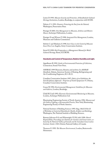Liston D 1993: *Museum Security and Protection. A Handbook for Cultural Heritage Institutions*, London, Routledge, in conjunction with ICOM.

Nelson, C L 1991: *Disasters: Protecting the Past from the Natural,*  Washington, Preservation Press.

Pinniger D 2001: *Pest Management in Museums, Archives and Historic Houses,* Archetype Publications, London.

Pinniger D and Winsor P 1998: *Integrated Pest Management,* London, Museums and Galleries Commission.

Selwitz C and Maekawa S 1998: *Inert Gases in the Control of Museum Insect Pests,* Los Angeles, Getty Conservation Institute.

Stovel H 1998: *Risk Preparedness: a Management Manual for World Cultural Heritage,* Rome, ICCROM.

### **Standards and Control of Temperature, Relative Humidity and Light.**

Appelbaum B 1992: *Guide to Environmental Protection of Collections,*  Connecticut, Sound View Press.

ASHRAE 1999 Museums, libraries, and archives. In *ASHRAE Handbook,* Atlanta, American Society of Heating, Refrigerating and Air-Conditioning Engineers, 20.1-20.13.

Canadian Conservation Institute 1997: *Fabric of an Exhibition: An Interdisciplinary Approach – Preprints of Textile Symposium 97,* Ottawa, Canadian Conservation Institute.

Cassar M 1994: *Environmental Management: Guidelines for Museums and Galleries,* London, Routledge.

Child R E (ed) 1993: *Electronic Environmental Monitoring in Museums,*  London, Archetype Publications Ltd.

Illuminating Engineering Society of North America 1996: *Museum and Art Gallery Lighting, a Recommended Practice,* New York, Illuminating Engineering Society of North America.

National Institute of Building Sciences 1993: *Bugs, Mold & Rot II: A Workshop on Control of Humidity for Health, Artifacts and Buildings,*  Washington, The National Institute of Building Sciences.

Ramsay-Jolicoeur B A and Wainwright I N M, (eds) 1990: *Shared Responsibility. Proceedings of a Seminar for Curators and Conservators, cohosted by the National Gallery of Canada and the Canadian Conservation Institute, October 1989,* Ottawa, National Gallery of Canada.

Thomson G 1993: *The Museum Environment,* London, Butterworth-Heinemann.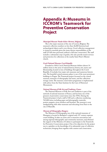# <span id="page-41-0"></span>**Appendix A: Museums in ICCROM's Teamwork for Preventive Conservation Project**

#### *Municipal Museum 'Vander Kelen-Mertens', Belgium*

The is the major museum of the city of Leuven, Belgium. The museum's collection numbers no less than 46,000 historical and archaeological objects and is very diverse. Good collection management is viewed as essential, given the many diverse responsibilities of the staff (25 full-time personnel, without a full time conservator). The staff includes a substantial corps of guides, who also provide tourist services and protection for collections at the nearby Saint Peter's Minster church.

#### *Czech National Museum, Czech Republic*

Founded in 1818, Czech National Museum shelters almost 14 million items in the areas of natural history, history, arts, music and librarianship, located in tens of buildings throughout the Czech Republic. It includes four major sub-museums and numerous historic sites. The beautiful central museum palace is one of the most prominent buildings in Prague. The Teamwork project focussed on the central museum, museums of ethnography and music, and the collections storage centre. The museum conservation programme is implemented with advice from the State Institute for the Care of Historical Monuments.

#### *National Museum of Folk Arts and Traditions, France*

The National Museum of Folk Arts and Traditions is part of the network of national museums of France, and has been one of the pioneers of preventive conservation since the 1970s. During the Teamwork project it had a staff of 100 and a collection numbering 765,000 items, including paper and photographic materials, posters, puppets, circus artefacts and furniture. The museum is now amalgamating with other museums and relocating from Paris to the city of Marseille.

#### *Museum of Ethnography, Hungary*

The Museum of Ethnography, one of the national museums of Humgary, is located in Budapest's original early 19<sup>th</sup> century supreme courts building. It takes an active role in museums associations and among regional ethnographic and community museums, and obtained the support of the Ministry of Culture to participate in the Teamwork for Preventive Conservation project. One of its objectives for the project was to capitalise on the knowledge of its substantial corps of collection technicians, bringing them together with curators and conservators.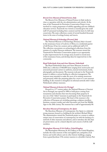#### *Brescia Civic Museum of Natural Science, Italy*

The Brescia Civic Museum of Natural Science in Italy works in close co-operation with the city administration and schools. At the time of the Teamwork for Preventive Conservation Project it was involved in a major programme of exhibit upgrading and new children's education services. Teamwork was viewed as essential given the small staff (15 personnel including three curators) and the lack of a full-time conservator. The main collections consist of several hundred thousand items in the areas of zoology, botany and insects.

#### *National Museum of Archaeology (Ferrara), Italy*

The National Museum of Archaeology (Ferrara), Italy is located in the renaissance house of Ludovico il Moro, in a residential quarter of old Ferrara. It has two curators and an additional staff of 15. The collection concentrates on archaeological collections from the remains of a nearby Etruscan settlement. The museum viewed the Teamwork for Preventive Conservation project as an opportunity to plan improvements for its storage areas, located in several areas of the renaissance house, and develop ideas for improved ties to the community.

#### *Royal Netherlands Army and Arms Museum, Netherlands*

The Royal Netherlands Army and Arms Museum, located in Delft, has a collection of 460,000 items ranging from motorcycles and armoured personnel carriers to uniforms, musical instruments, books, photographs and documents. The museum took part in the Teamwork project to address a serious backlog in collection management. The museum team intended to make the most of its existing storerooms and personnel, while also preparing plans for a move to a new museum building. It also wanted to strengthen its informal network with 4 other Netherlands military museums.

#### *National Museum of Ancient Art, Portugal*

Housed in a 17<sup>th</sup> century palace, the National Museum of Ancient Art in Portugal, was opened in 1884 to hold pieces coming from monasteries and churches that were becoming State property. It was one of the "oldest" museums to participate in the Teamwork for Preventive Conservation project. The heart of the museum is the collection of European art, including paintings, sculpture, jewellery, furniture, ceramics, textiles and other decorative arts from the Middle Ages to the 20th century. The museum has a staff of approximately 80.

#### *Barcelona Museum of Contemporary Art, Spain*

The Barcelona Museum of Contemporary Art, Spain is a relatively young museum, housed in a building by the architect Richard Meier. The administration viewed the Teamwork project as a means to address unique issue of conservation of contemporary art with the backing of a network of other museums and advisors, and to introduce the idea that art preservation can be a shared objective and concern of all the staff members.

#### *Birmingham Museums & Art Gallery, United Kingdom*

The Birmingham Museums & Art Gallery, in the United Kingdom, includes the main museum of fine and applied arts, antiquities, local history and world cultures and six other historic buildings, ranging from a grand Jacobean 17th century mansion to a Jeweller's factory. Part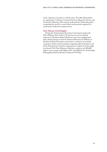of the collection is housed in 3 off-site stores. The 200 staff members are organised in 3 divisions: Curatorial Services, Museums Services, and Community Museums. The museum undertook the Teamwork project recognising the need for a more holistic and preventive approach to conservation within the museum service.

### *Ulster Museum, United Kingdom*

During the Teamwork for Preventive Conservation project, the Ulster Museum had a staff of 145 and was one of two national museums in Northern Ireland. Both have since been amalgamated with a third museum to form the National Museums & Galleries of Northern Ireland. Preventive conservation is viewed as an essential component of the museum's business, requiring staff involvement at all levels: Teamwork was viewed as opportunity to explore how this might be achieved. The Ulster Museum collections comprise over 800,000 objects across a range of disciplines: Fine and Applied Art, Archaeology, Ethnography, History, Botany, Geology and Zoology.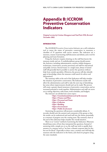# <span id="page-44-0"></span>**Appendix B: ICCROM Preventive Conservation Indicators**

*Original version by Cristina Menegazzi and Neal Putt 1998, Revised November 2002.*

#### **INTRODUCTION**

The *ICCROM Preventive Conservation Indicators* are a self-evaluation tool to assess the status of preventive conservation in museums, a checklist of 35 questions with yes/no answers. The indicators are a measure, a means of promoting staff discussion and debate, and a tool for planning and team formation.

Using the *Indicators* requires drawing on the staff that knows the museum, inside and out. A multidisciplinary group should answer the *Indicators*, including administration, curators, exhibit designers, technicians, conservators, security personnel, and staff for educational and public services. Several teams or a single team, always of mixed staff will generally find it possible to answer the questions without help from outside specialists. (However, the process will also identify gaps in knowledge, where the museum could search for advice and information!)

The summary table at the end of the Indicators will help visualise the situation of preventive conservation. The Indicators results will allow the administration and staff to take the next step of identifying key areas where improvements should and can be made. The process will create a greater shared awareness of preventive conservation, and an increased potential to work together. Administration and staff can move on to setting objectives, with teams, work schedules, and budgets.

The *Indicators* are divided into seven topics:

- *•Topic 1 Constitutional framework of the museum*
- *•Topic 2 Finance and Plans*
- *•Topic 3 Personnel and Teams*
- *•Topic 4 Collection*
- *•Topic 5 Building*
- *•Topic 6 Environment*
- *•Topic 7 Public Involvement*

Answering the questions will promote considerable debate. A recorder should note the answers and comments of the group so that the results can be understood and used well into the future, potentially as a measure of progress over the coming years. The summary chart at the end of the indicators helps visualise the overall situation.

There is no "correct" method of answering the Indicators. Museums should keep notes of how they interpreted the questions. Instead of answering with a simple yes or no, the staff may wish to qualify their answers, in a manner such as "we have a disaster response plan for fire, but not for flood". Especially in these cases, a written note will help the museum redo the indicators in the future, and check its progress using the same standards.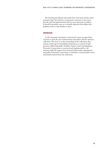By reviewing the debates and results from each topic and the entire summary chart, the *Indicators* can generate consensus on key issues that the staff and administration feel are most important to address. It should be possible to go on to identify objectives that address key problems and are truly feasible to reach.

## **DEFINITION**

In this document, "preventive conservation" means an agreed plan of action to slow the rate of deterioration and reduce risks for museum collections. The focus is on the surrounding of the collections, thus actions could range from building maintenance, to control of staff practices, influencing public attitudes, climate control and legislation. Preventive Conservation is conceived and implemented by a all museum staff with support from external professionals, organisations and public. Preventive conservation is intended to increase public access and benefits derived from the collections.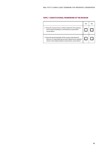# **TOPIC 1 CONSTITUTIONAL FRAMEWORK OF THE MUSEUM**

|                                                                                                                                                                                 | YES | NC |
|---------------------------------------------------------------------------------------------------------------------------------------------------------------------------------|-----|----|
| 1.1 Does the museum have a written statement of its purpose<br>and its goals including its commitments to preventive<br>conservation?                                           |     |    |
| 1.2 Does the governing body of the museum (the board of<br>directors or responsible government department) regularly<br>check on the implementation of preventive conservation? |     |    |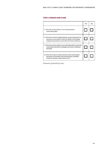# **TOPIC 2 FINANCE AND PLANS**

|                                                                                                                                                                                       | <b>YES</b> | NΟ |
|---------------------------------------------------------------------------------------------------------------------------------------------------------------------------------------|------------|----|
| 2.1 Does the museum have a 3 to 5 year preventive<br>conservation plan?                                                                                                               |            |    |
| 2.2 Does the museum budget indicate a group of expenses for<br>preventive conservation? (Note the details of the budget<br>assigned to preventive conservation, for future reference) |            |    |
| 2.3 Does the museum prepare an annual funding plan for preventive<br>conservation and review its strategies and success in obtaining<br>the funds?                                    |            |    |
| 2.4 Does the museum research sponsors that could support<br>preventive conservation, documenting their mandates,<br>criteria for awards, contact persons, etc.?                       |            |    |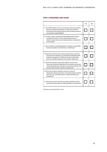# **TOPIC 3 PERSONNEL AND TEAMS**

|                                                                                                                                                                                                                                             | <b>YFS</b> | NO. |
|---------------------------------------------------------------------------------------------------------------------------------------------------------------------------------------------------------------------------------------------|------------|-----|
| 3.1 Do staff members (such as conservator-restorers, curators,<br>directors, educators, quardians, maintenance staff and<br>technicians) have job descriptions that include preventive<br>conservation responsibilities?                    |            |     |
| 3.2 Is there a team composed of the leading staff members<br>mentioned in point 3.1 that meets at least every six<br>months to plan and review implementation of preventive<br>conservation?                                                |            |     |
| 3.3 Are members of staff designated in writing as responsible<br>for documentation and inventory of collections?                                                                                                                            |            |     |
| 3.4 Does the museum have a team and practices to prevent<br>and respond to disasters (e.g. fire, flood, earthquake, theft,<br>malicious damage, etc.)? Does the museum have other<br>teams for specific preventive conservation objectives? |            |     |
| 3.5 Does the museum ensure that staff has access to the<br>necessary training to implement the museum's preventive<br>conservation plan (for example via university training, short<br>courses, visits to other museums, congresses)?       |            |     |
| 3.6 Does the museum maintain a resource centre of<br>information about preventive conservation (books, articles,<br>web sites, etc.) and offer advice to staff, volunteers and<br>researchers?                                              |            |     |
| 3.7 Does the museum provide any written quidelines about<br>preventive conservation to staff, volunteers or researchers?                                                                                                                    |            |     |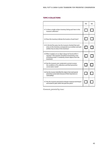# **TOPIC 4 COLLECTIONS**

|                                                                                                                                                                                           | <b>YFS</b> | NO. |
|-------------------------------------------------------------------------------------------------------------------------------------------------------------------------------------------|------------|-----|
| 4.1 Is there a single written inventory listing each item in the<br>museum collection?                                                                                                    |            |     |
| 4.2 Does the inventory indicate the location of each item?                                                                                                                                |            |     |
| 4.3 In the last five years, has the museum checked that each<br>entry on the inventory corresponds to an artefact and each<br>artefact has an entry in the inventory?                     |            |     |
| 4.4 When needed, can an object always be found within 5<br>minutes? (This question should be answered by a test<br>of finding at least 15 randomly chosen objects from the<br>inventory.) |            |     |
| 4.5 Has the museum ever conducted a survey to assess<br>the conditions of its collections and their preventive<br>conservation needs?                                                     |            |     |
| 4.6 Has the museum identified the objects that need special<br>preventive conservation because of their importance or<br>vulnerability?                                                   |            |     |
| 4.7 Has the museum practised its disaster response techniques<br>and tested its plan within the past five years?                                                                          |            |     |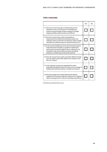# **TOPIC 5 BUILDING**

|                                                                                                                                                                                                                                                                                                      | <b>YFS</b> | N <sub>O</sub> |
|------------------------------------------------------------------------------------------------------------------------------------------------------------------------------------------------------------------------------------------------------------------------------------------------------|------------|----------------|
| 5.1 Does the museum have plans indicating the present<br>distribution and use of the space in its building (e.g.<br>locations and percentage of space assigned to storage,<br>shipping, exhibits, public functions, and offices)?                                                                    |            |                |
| 5.2 Does the museum have a plan and schedule of<br>improvements for facilities that will better protect the<br>collection (reduce movement of collections, improve public<br>and staff access, allocate space for special functions, etc.)?                                                          |            |                |
| 5.3 Is the museum building structure and mechanical systems<br>inspected at least annually, as a quide for maintenance<br>and a measure to protect against risks to collections (e.g.<br>foundation, walls, roof, windows and doors, plumbing,<br>heating, air conditioning and electrical systems)? |            |                |
| 5.4 Does the museum have a plan to provide sufficient storage<br>space for objects that will be added to the collection over<br>the next 10 years?                                                                                                                                                   |            |                |
| 5.5 Is the collection storage area separated from other<br>potentially damaging museum functions, such as storage of<br>building and cleaning materials, or exhibit construction?                                                                                                                    |            |                |
| 5.6 Does the storage area include shelving and cabinets<br>suitable for the museum collections, with access to adjacent<br>tables and equipment for reference, handling and packing?                                                                                                                 |            |                |

*Comments, potential key issues:*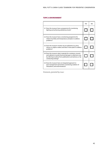# **TOPIC 6 ENVIRONMENT**

|                                                                                                                                                                                                                     | <b>YFS</b> | NO. |
|---------------------------------------------------------------------------------------------------------------------------------------------------------------------------------------------------------------------|------------|-----|
| 6.1 Does the museum have a programme for monitoring<br>lighting and achieving satisfactory levels?                                                                                                                  |            |     |
| 6.2 Does the museum have a monitoring programme for<br>relative humidity and temperature, and plans to address<br>problems?                                                                                         |            |     |
| 6.3 Does the museum monitor any air pollutants (e.g. dust,<br>nitrous or sulphur oxides) and does it have plans to address<br>problems?                                                                             |            |     |
| 6.4 Does the museum select materials for containers, mounts,<br>and cabinets, to avoid chemical damage to collections (e.g.<br>by referring to advice from publications and advisors, or by<br>conducting testing)? |            |     |
| 6.5 Does the museum have an integrated approach to<br>pest management (prevention, monitoring, isolation of<br>infestations, and extermination)?                                                                    |            |     |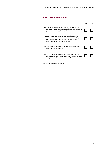# **TOPIC 7 PUBLIC INVOLVEMENT**

|                                                                                                                                                                                                                             | <b>YFS</b> | NΟ |
|-----------------------------------------------------------------------------------------------------------------------------------------------------------------------------------------------------------------------------|------------|----|
| 7.1 Does the museum have a programme to inform the public<br>about preventive conservation (e.g. explanatory panels, exhibits,<br>publications, demonstrations, web site)?                                                  |            |    |
| 7.2 Does the museum take steps to involve the public, such<br>as by providing advice for personal collections, seeking<br>consultation on museum decisions, or encouraging<br>participation in special events and projects? |            |    |
| 7.3 Does the museum take measures specifically designed to<br>inform and involve children?                                                                                                                                  |            |    |
| 7.4 Does the museum take measures specifically designed to<br>advocate preventive conservation via news media, contacts<br>with government and other decision makers?                                                       |            |    |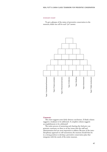#### SUMMARY CHART

To get a glimpse of the status of preventive conservation in the museum, shade one cell for each "yes" answer.



#### *Comments:*

This chart suggests some fairly obvious conclusions. A blank column suggests a weakness to be addressed. A complete column suggests accomplishments to be celebrated!

The entire process of answering and charting the *Indicators* can generate consensus on three to six key issues that the staff and administration feel are most important to address. Because of the interdisciplinary approach to self-assessment, the museum should then be in a strong position to develop a preventive conservation plan that integrates with the needs of the entire museum.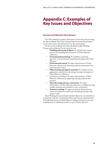# <span id="page-54-0"></span>**Appendix C: Examples of Key Issues and Objectives**

#### **Key Issues and Objectives: Ulster Museum**

The Ulster Museum created a Preventive Conservation Team during the first workshop. This Team examined thirteen potential preventive conservation issues and selected seven as the top priorities.

In the second workshop the Team identified smaller Working Groups and an objective for each priority area:

- **Handling and moving of objects:** To identify and improve practices for handling and movement of Ulster Museum collections.
- **Environmental monitoring:** To establish a systematic approach to environmental monitoring throughout the Ulster Museum.
- **Environmental control:** To reduce deterioration of Ulster Museum collections by improving methods and practices for environmental control.
- **Object housing and support materials:** To identify and use appropriate materials for safe storage housing and support of Ulster Museum collections.
- Cleanliness and tidiness: To reduce deterioration of Ulster Museum collections by improving cleaning methods and practices.
- **Materials testing and case construction:** To reduce deterioration of Ulster Museum collections on display by using suitable materials and methods for case construction.
- **Awareness training:** To support actions in all priorities by means of seminars for small multi-disciplinary groups of all museum staff.

Each Working Group developed detailed objectives and schedules in conjunction with the overall project Team and museum administration. Each Working Group included efficient staffing, minimised costs and establishment of standard procedures as part of their objectives.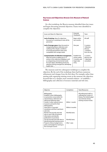# **Key Issues and Objectives: Brescia Civic Museum of Natural Science**

At a first workshop, the Brescia museum identified three key issues and began discussing potential objectives. Teams were identified to complete the objectives:

| Issues and Ideas for Objectives                                                                                                                                                                                                                                                      | Potential<br>Timeframe                                                          | Team                                                                      |
|--------------------------------------------------------------------------------------------------------------------------------------------------------------------------------------------------------------------------------------------------------------------------------------|---------------------------------------------------------------------------------|---------------------------------------------------------------------------|
| <b>Lack of training.</b> Ideas for objectives<br>focussed on a workshop to train all the<br>personnel.                                                                                                                                                                               | Begin within<br>two months.                                                     | All staff.                                                                |
| <b>Lack of storage space.</b> Ideas focussed on<br>reorganising library collections and<br>verifying if the climatic conditions<br>of unused ground floor areas were<br>compatible with storage needs.                                                                               | One year                                                                        | 3 curators.<br>1 librarian,<br>director.<br>1 architect<br>from the city. |
| <b>Computerisation of collections management.</b><br>Ideas focussed on adding up to 10<br>entries in the collections database, such<br>as categorising environmental needs<br>for each object, identifying priority for<br>attention during emergencies, identifying<br>health risks | <b>Fstablish the</b><br>entries within<br>5 months, and<br>begin data<br>entry. | 3 curators,<br>director, and<br>1 data base<br>consultant.                |

The museum used two subsequent workshops to complete the objectives. By the end of the workshops there had been numerous refinements and changes from the first ideas. For example, rather than starting with organising training events at the museum, the objectives focussed first on a cheaper, more essential solution – to establish a bibliography and collection of resource materials and web sites.

| Objective                                                                                                                                                                                                                                                                                            | Completion                         | Team/Resources                                                                                                                        |
|------------------------------------------------------------------------------------------------------------------------------------------------------------------------------------------------------------------------------------------------------------------------------------------------------|------------------------------------|---------------------------------------------------------------------------------------------------------------------------------------|
| Bibliography:<br>Establish a basic bibliography<br>on preventive conservation for<br>natural history collections by<br>taking the following steps:<br>Contact 3 other natural science<br>museums and ask for their<br>bibliographies<br>Subscribe to 3 journals/<br>newsletters and find 2 pertinent | Within 1 month.<br>Within 6 months | All professional staff, co-<br>ordinated by Curator of<br>Botany. The initial budget<br>was minimal, met by<br>existing museum funds. |
| web sites<br>Monitor the journals and web<br>sites to start a file of technical<br>information and identify<br>publications to purchase.                                                                                                                                                             | Monthly basis.                     |                                                                                                                                       |
| Use the journals and web sites to<br>identify potential training events.                                                                                                                                                                                                                             | Monthly basis.                     |                                                                                                                                       |
| Propose a library budget and a<br>policy and budget for training to<br>the municipal council.                                                                                                                                                                                                        | After 1 year.                      |                                                                                                                                       |